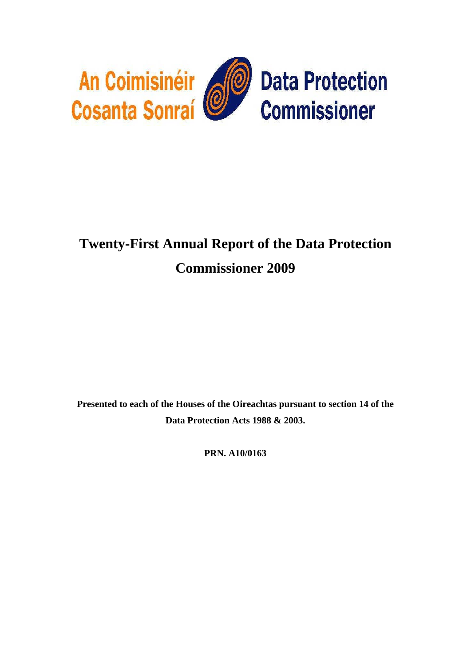

# **Twenty-First Annual Report of the Data Protection Commissioner 2009**

**Presented to each of the Houses of the Oireachtas pursuant to section 14 of the Data Protection Acts 1988 & 2003.** 

**PRN. A10/0163**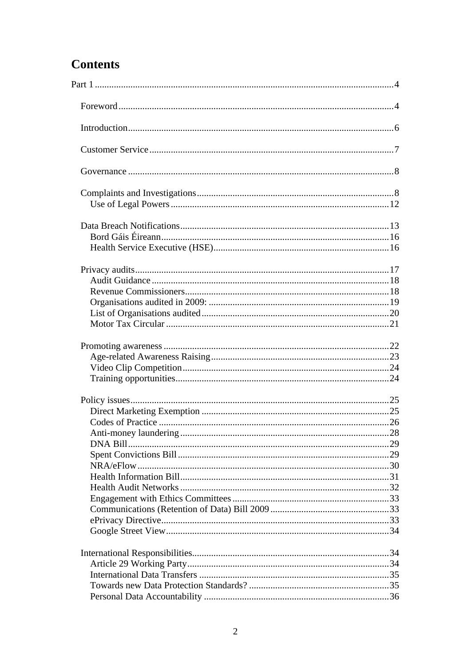## **Contents**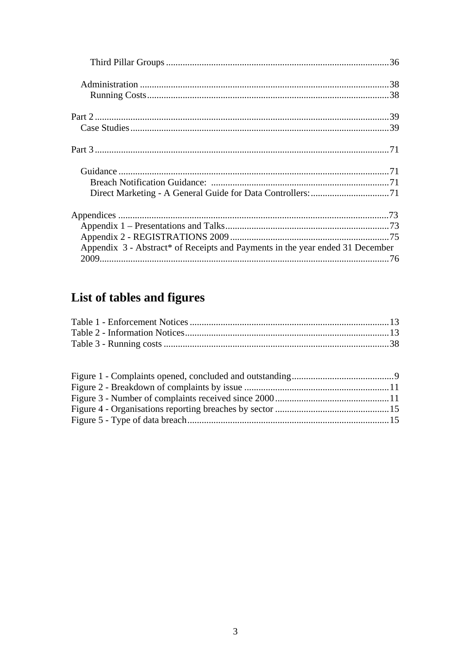| Appendix 3 - Abstract* of Receipts and Payments in the year ended 31 December |  |
|-------------------------------------------------------------------------------|--|
|                                                                               |  |

## List of tables and figures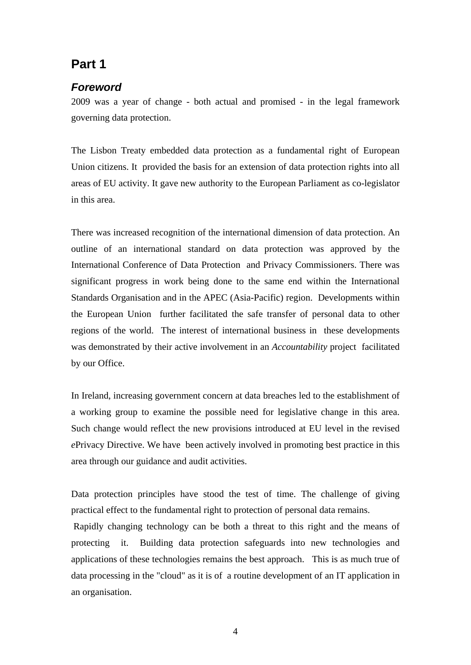## <span id="page-3-0"></span>**Part 1**

## *Foreword*

2009 was a year of change - both actual and promised - in the legal framework governing data protection.

The Lisbon Treaty embedded data protection as a fundamental right of European Union citizens. It provided the basis for an extension of data protection rights into all areas of EU activity. It gave new authority to the European Parliament as co-legislator in this area.

There was increased recognition of the international dimension of data protection. An outline of an international standard on data protection was approved by the International Conference of Data Protection and Privacy Commissioners. There was significant progress in work being done to the same end within the International Standards Organisation and in the APEC (Asia-Pacific) region. Developments within the European Union further facilitated the safe transfer of personal data to other regions of the world. The interest of international business in these developments was demonstrated by their active involvement in an *Accountability* project facilitated by our Office.

In Ireland, increasing government concern at data breaches led to the establishment of a working group to examine the possible need for legislative change in this area. Such change would reflect the new provisions introduced at EU level in the revised *e*Privacy Directive. We have been actively involved in promoting best practice in this area through our guidance and audit activities.

Data protection principles have stood the test of time. The challenge of giving practical effect to the fundamental right to protection of personal data remains.

 Rapidly changing technology can be both a threat to this right and the means of protecting it. Building data protection safeguards into new technologies and applications of these technologies remains the best approach. This is as much true of data processing in the "cloud" as it is of a routine development of an IT application in an organisation.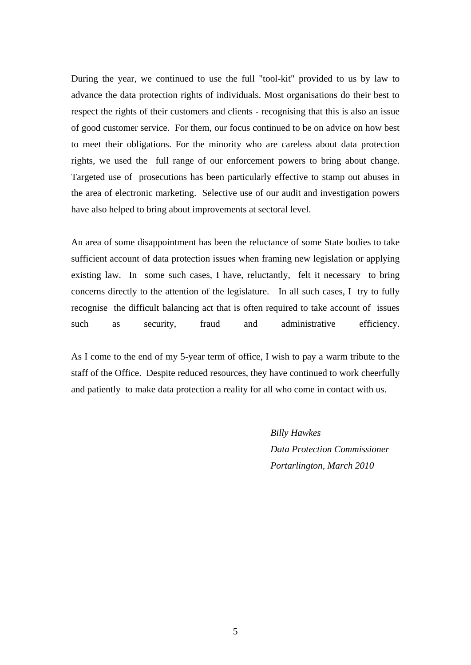During the year, we continued to use the full "tool-kit" provided to us by law to advance the data protection rights of individuals. Most organisations do their best to respect the rights of their customers and clients - recognising that this is also an issue of good customer service. For them, our focus continued to be on advice on how best to meet their obligations. For the minority who are careless about data protection rights, we used the full range of our enforcement powers to bring about change. Targeted use of prosecutions has been particularly effective to stamp out abuses in the area of electronic marketing. Selective use of our audit and investigation powers have also helped to bring about improvements at sectoral level.

An area of some disappointment has been the reluctance of some State bodies to take sufficient account of data protection issues when framing new legislation or applying existing law. In some such cases, I have, reluctantly, felt it necessary to bring concerns directly to the attention of the legislature. In all such cases, I try to fully recognise the difficult balancing act that is often required to take account of issues such as security, fraud and administrative efficiency.

As I come to the end of my 5-year term of office, I wish to pay a warm tribute to the staff of the Office. Despite reduced resources, they have continued to work cheerfully and patiently to make data protection a reality for all who come in contact with us.

> *Billy Hawkes Data Protection Commissioner Portarlington, March 2010*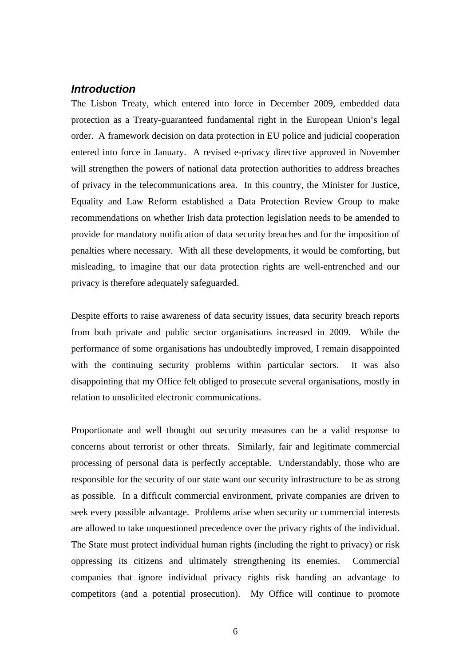## <span id="page-5-0"></span>*Introduction*

The Lisbon Treaty, which entered into force in December 2009, embedded data protection as a Treaty-guaranteed fundamental right in the European Union's legal order. A framework decision on data protection in EU police and judicial cooperation entered into force in January. A revised e-privacy directive approved in November will strengthen the powers of national data protection authorities to address breaches of privacy in the telecommunications area. In this country, the Minister for Justice, Equality and Law Reform established a Data Protection Review Group to make recommendations on whether Irish data protection legislation needs to be amended to provide for mandatory notification of data security breaches and for the imposition of penalties where necessary. With all these developments, it would be comforting, but misleading, to imagine that our data protection rights are well-entrenched and our privacy is therefore adequately safeguarded.

Despite efforts to raise awareness of data security issues, data security breach reports from both private and public sector organisations increased in 2009. While the performance of some organisations has undoubtedly improved, I remain disappointed with the continuing security problems within particular sectors. It was also disappointing that my Office felt obliged to prosecute several organisations, mostly in relation to unsolicited electronic communications.

Proportionate and well thought out security measures can be a valid response to concerns about terrorist or other threats. Similarly, fair and legitimate commercial processing of personal data is perfectly acceptable. Understandably, those who are responsible for the security of our state want our security infrastructure to be as strong as possible. In a difficult commercial environment, private companies are driven to seek every possible advantage. Problems arise when security or commercial interests are allowed to take unquestioned precedence over the privacy rights of the individual. The State must protect individual human rights (including the right to privacy) or risk oppressing its citizens and ultimately strengthening its enemies. Commercial companies that ignore individual privacy rights risk handing an advantage to competitors (and a potential prosecution). My Office will continue to promote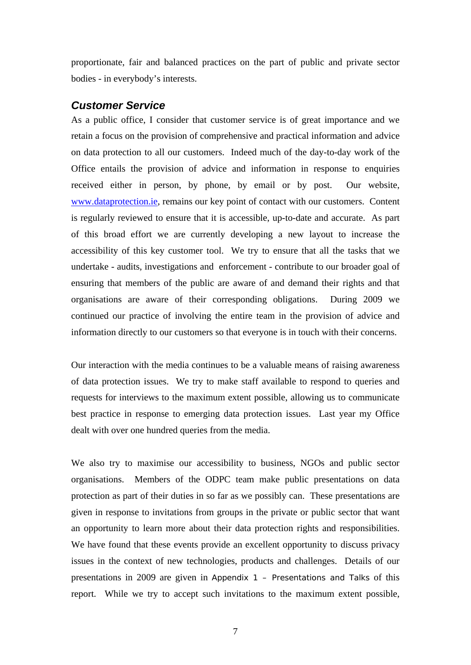<span id="page-6-0"></span>proportionate, fair and balanced practices on the part of public and private sector bodies - in everybody's interests.

## *Customer Service*

As a public office, I consider that customer service is of great importance and we retain a focus on the provision of comprehensive and practical information and advice on data protection to all our customers. Indeed much of the day-to-day work of the Office entails the provision of advice and information in response to enquiries received either in person, by phone, by email or by post. Our website, [www.dataprotection.ie](http://www.dataprotection.ie/docs/Home/4.htm), remains our key point of contact with our customers. Content is regularly reviewed to ensure that it is accessible, up-to-date and accurate. As part of this broad effort we are currently developing a new layout to increase the accessibility of this key customer tool. We try to ensure that all the tasks that we undertake - audits, investigations and enforcement - contribute to our broader goal of ensuring that members of the public are aware of and demand their rights and that organisations are aware of their corresponding obligations. During 2009 we continued our practice of involving the entire team in the provision of advice and information directly to our customers so that everyone is in touch with their concerns.

Our interaction with the media continues to be a valuable means of raising awareness of data protection issues. We try to make staff available to respond to queries and requests for interviews to the maximum extent possible, allowing us to communicate best practice in response to emerging data protection issues. Last year my Office dealt with over one hundred queries from the media.

We also try to maximise our accessibility to business, NGOs and public sector organisations. Members of the ODPC team make public presentations on data protection as part of their duties in so far as we possibly can. These presentations are given in response to invitations from groups in the private or public sector that want an opportunity to learn more about their data protection rights and responsibilities. We have found that these events provide an excellent opportunity to discuss privacy issues in the context of new technologies, products and challenges. Details of our presentations in 2009 are given in [Appendix 1 – Presentations and Talks](#page-72-1) of this report. While we try to accept such invitations to the maximum extent possible,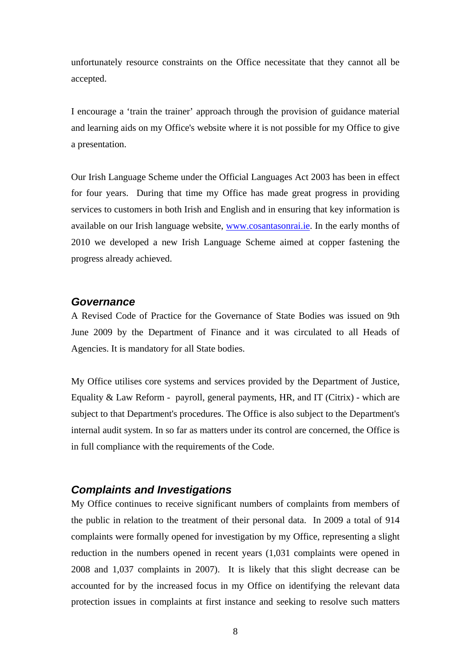<span id="page-7-0"></span>unfortunately resource constraints on the Office necessitate that they cannot all be accepted.

I encourage a 'train the trainer' approach through the provision of guidance material and learning aids on my Office's website where it is not possible for my Office to give a presentation.

Our Irish Language Scheme under the Official Languages Act 2003 has been in effect for four years. During that time my Office has made great progress in providing services to customers in both Irish and English and in ensuring that key information is available on our Irish language website, [www.cosantasonrai.ie.](http://www.cosantasonrai.ie/viewdoc.asp?DocID=4&UserLang=GA) In the early months of 2010 we developed a new Irish Language Scheme aimed at copper fastening the progress already achieved.

#### *Governance*

A Revised Code of Practice for the Governance of State Bodies was issued on 9th June 2009 by the Department of Finance and it was circulated to all Heads of Agencies. It is mandatory for all State bodies.

My Office utilises core systems and services provided by the Department of Justice, Equality  $& Law Reform - payroll$ , general payments, HR, and IT (Citrix) - which are subject to that Department's procedures. The Office is also subject to the Department's internal audit system. In so far as matters under its control are concerned, the Office is in full compliance with the requirements of the Code.

## *Complaints and Investigations*

My Office continues to receive significant numbers of complaints from members of the public in relation to the treatment of their personal data. In 2009 a total of 914 complaints were formally opened for investigation by my Office, representing a slight reduction in the numbers opened in recent years (1,031 complaints were opened in 2008 and 1,037 complaints in 2007). It is likely that this slight decrease can be accounted for by the increased focus in my Office on identifying the relevant data protection issues in complaints at first instance and seeking to resolve such matters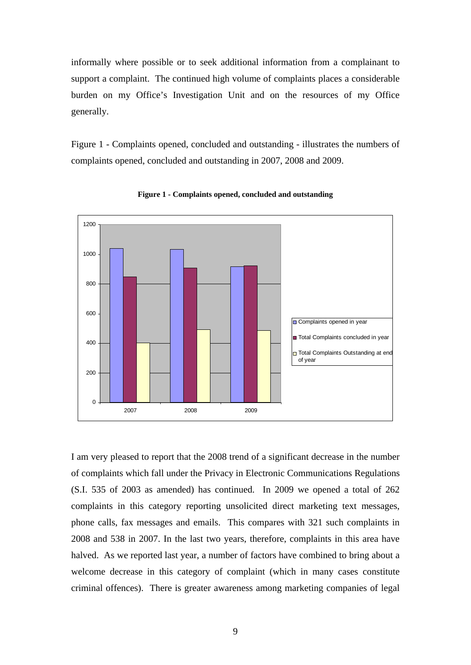<span id="page-8-0"></span>informally where possible or to seek additional information from a complainant to support a complaint. The continued high volume of complaints places a considerable burden on my Office's Investigation Unit and on the resources of my Office generally.

[Figure 1 - Complaints opened, concluded and outstanding](#page-8-1) - illustrates the numbers of complaints opened, concluded and outstanding in 2007, 2008 and 2009.

<span id="page-8-1"></span>

**Figure 1 - Complaints opened, concluded and outstanding**

I am very pleased to report that the 2008 trend of a significant decrease in the number of complaints which fall under the Privacy in Electronic Communications Regulations (S.I. 535 of 2003 as amended) has continued. In 2009 we opened a total of 262 complaints in this category reporting unsolicited direct marketing text messages, phone calls, fax messages and emails. This compares with 321 such complaints in 2008 and 538 in 2007. In the last two years, therefore, complaints in this area have halved. As we reported last year, a number of factors have combined to bring about a welcome decrease in this category of complaint (which in many cases constitute criminal offences). There is greater awareness among marketing companies of legal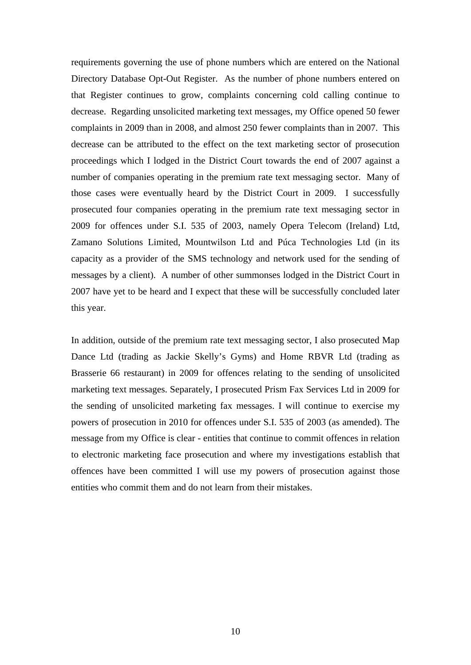requirements governing the use of phone numbers which are entered on the National Directory Database Opt-Out Register. As the number of phone numbers entered on that Register continues to grow, complaints concerning cold calling continue to decrease. Regarding unsolicited marketing text messages, my Office opened 50 fewer complaints in 2009 than in 2008, and almost 250 fewer complaints than in 2007. This decrease can be attributed to the effect on the text marketing sector of prosecution proceedings which I lodged in the District Court towards the end of 2007 against a number of companies operating in the premium rate text messaging sector. Many of those cases were eventually heard by the District Court in 2009. I successfully prosecuted four companies operating in the premium rate text messaging sector in 2009 for offences under S.I. 535 of 2003, namely Opera Telecom (Ireland) Ltd, Zamano Solutions Limited, Mountwilson Ltd and Púca Technologies Ltd (in its capacity as a provider of the SMS technology and network used for the sending of messages by a client). A number of other summonses lodged in the District Court in 2007 have yet to be heard and I expect that these will be successfully concluded later this year.

In addition, outside of the premium rate text messaging sector, I also prosecuted Map Dance Ltd (trading as Jackie Skelly's Gyms) and Home RBVR Ltd (trading as Brasserie 66 restaurant) in 2009 for offences relating to the sending of unsolicited marketing text messages. Separately, I prosecuted Prism Fax Services Ltd in 2009 for the sending of unsolicited marketing fax messages. I will continue to exercise my powers of prosecution in 2010 for offences under S.I. 535 of 2003 (as amended). The message from my Office is clear - entities that continue to commit offences in relation to electronic marketing face prosecution and where my investigations establish that offences have been committed I will use my powers of prosecution against those entities who commit them and do not learn from their mistakes.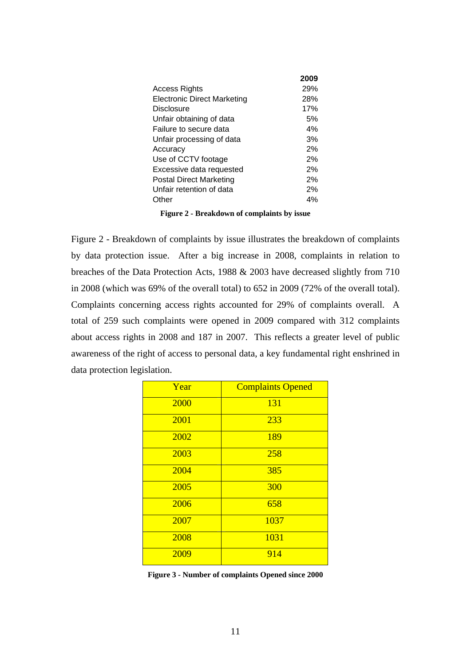<span id="page-10-0"></span>

|                                    | 2009 |
|------------------------------------|------|
| Access Rights                      | 29%  |
| <b>Electronic Direct Marketing</b> | 28%  |
| <b>Disclosure</b>                  | 17%  |
| Unfair obtaining of data           | 5%   |
| Failure to secure data             | 4%   |
| Unfair processing of data          | 3%   |
| Accuracy                           | 2%   |
| Use of CCTV footage                | 2%   |
| Excessive data requested           | 2%   |
| <b>Postal Direct Marketing</b>     | 2%   |
| Unfair retention of data           | 2%   |
| Other                              | 4%   |
|                                    |      |

|  |  | Figure 2 - Breakdown of complaints by issue |  |
|--|--|---------------------------------------------|--|
|--|--|---------------------------------------------|--|

<span id="page-10-1"></span>[Figure 2 - Breakdown of complaints by issue](#page-10-1) illustrates the breakdown of complaints by data protection issue. After a big increase in 2008, complaints in relation to breaches of the Data Protection Acts, 1988 & 2003 have decreased slightly from 710 in 2008 (which was 69% of the overall total) to 652 in 2009 (72% of the overall total). Complaints concerning access rights accounted for 29% of complaints overall. A total of 259 such complaints were opened in 2009 compared with 312 complaints about access rights in 2008 and 187 in 2007. This reflects a greater level of public awareness of the right of access to personal data, a key fundamental right enshrined in data protection legislation.

| Year | <b>Complaints Opened</b> |
|------|--------------------------|
| 2000 | 131                      |
| 2001 | 233                      |
| 2002 | 189                      |
| 2003 | 258                      |
| 2004 | 385                      |
| 2005 | 300                      |
| 2006 | 658                      |
| 2007 | 1037                     |
| 2008 | 1031                     |
| 2009 | 914                      |

| Figure 3 - Number of complaints Opened since 2000 |  |  |  |
|---------------------------------------------------|--|--|--|
|                                                   |  |  |  |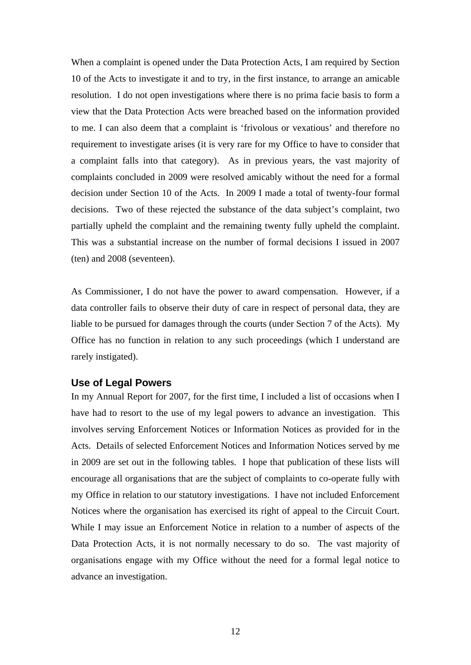<span id="page-11-0"></span>When a complaint is opened under the Data Protection Acts, I am required by Section 10 of the Acts to investigate it and to try, in the first instance, to arrange an amicable resolution. I do not open investigations where there is no prima facie basis to form a view that the Data Protection Acts were breached based on the information provided to me. I can also deem that a complaint is 'frivolous or vexatious' and therefore no requirement to investigate arises (it is very rare for my Office to have to consider that a complaint falls into that category). As in previous years, the vast majority of complaints concluded in 2009 were resolved amicably without the need for a formal decision under Section 10 of the Acts. In 2009 I made a total of twenty-four formal decisions. Two of these rejected the substance of the data subject's complaint, two partially upheld the complaint and the remaining twenty fully upheld the complaint. This was a substantial increase on the number of formal decisions I issued in 2007 (ten) and 2008 (seventeen).

As Commissioner, I do not have the power to award compensation. However, if a data controller fails to observe their duty of care in respect of personal data, they are liable to be pursued for damages through the courts (under Section 7 of the Acts). My Office has no function in relation to any such proceedings (which I understand are rarely instigated).

#### **Use of Legal Powers**

In my Annual Report for 2007, for the first time, I included a list of occasions when I have had to resort to the use of my legal powers to advance an investigation. This involves serving Enforcement Notices or Information Notices as provided for in the Acts. Details of selected Enforcement Notices and Information Notices served by me in 2009 are set out in the following tables. I hope that publication of these lists will encourage all organisations that are the subject of complaints to co-operate fully with my Office in relation to our statutory investigations. I have not included Enforcement Notices where the organisation has exercised its right of appeal to the Circuit Court. While I may issue an Enforcement Notice in relation to a number of aspects of the Data Protection Acts, it is not normally necessary to do so. The vast majority of organisations engage with my Office without the need for a formal legal notice to advance an investigation.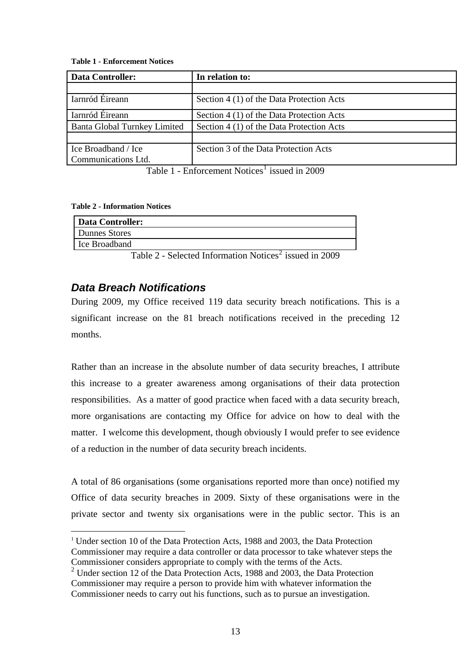#### <span id="page-12-0"></span>**Table 1 - Enforcement Notices**

| <b>Data Controller:</b>             | In relation to:                           |
|-------------------------------------|-------------------------------------------|
|                                     |                                           |
| Iarnród Éireann                     | Section 4 (1) of the Data Protection Acts |
| Iarnród Éireann                     | Section 4 (1) of the Data Protection Acts |
| <b>Banta Global Turnkey Limited</b> | Section 4 (1) of the Data Protection Acts |
|                                     |                                           |
| Ice Broadband / Ice                 | Section 3 of the Data Protection Acts     |
| Communications Ltd.                 |                                           |

Table [1](#page-12-1) - Enforcement Notices<sup>1</sup> issued in 2009

#### **Table 2 - Information Notices**

1

| Data Controller: |                                                                                 |
|------------------|---------------------------------------------------------------------------------|
| Dunnes Stores    |                                                                                 |
| l Ice Broadband  |                                                                                 |
|                  | $T-1.1 - 0 = 0.1 - 1.1$ $T_1 + 0.1 - 1.1$ $T_2 + 0.1 - 1.1 - 1.1$ $T_3 + 0.000$ |

Table  $2$  - Selected Information Notices<sup>2</sup> issued in 2009

## *Data Breach Notifications*

During 2009, my Office received 119 data security breach notifications. This is a significant increase on the 81 breach notifications received in the preceding 12 months.

Rather than an increase in the absolute number of data security breaches, I attribute this increase to a greater awareness among organisations of their data protection responsibilities. As a matter of good practice when faced with a data security breach, more organisations are contacting my Office for advice on how to deal with the matter. I welcome this development, though obviously I would prefer to see evidence of a reduction in the number of data security breach incidents.

A total of 86 organisations (some organisations reported more than once) notified my Office of data security breaches in 2009. Sixty of these organisations were in the private sector and twenty six organisations were in the public sector. This is an

<span id="page-12-1"></span><sup>&</sup>lt;sup>1</sup> Under section 10 of the Data Protection Acts, 1988 and 2003, the Data Protection Commissioner may require a data controller or data processor to take whatever steps the Commissioner considers appropriate to comply with the terms of the Acts.

<span id="page-12-2"></span><sup>&</sup>lt;sup>2</sup> Under section 12 of the Data Protection Acts, 1988 and 2003, the Data Protection Commissioner may require a person to provide him with whatever information the Commissioner needs to carry out his functions, such as to pursue an investigation.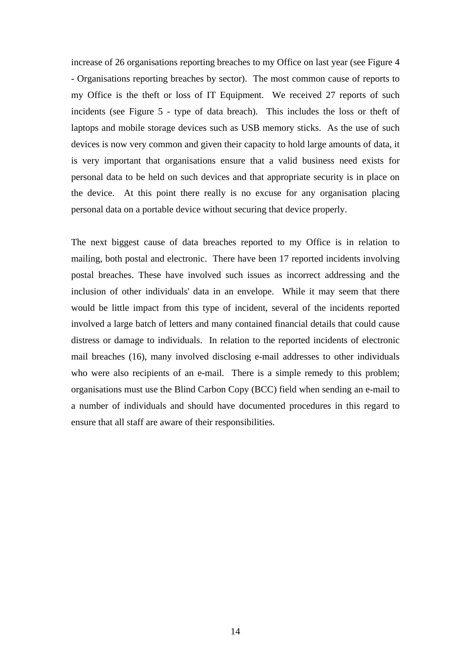increase of 26 organisations reporting breaches to my Office on last year (see [Figure 4](#page-14-1)  [- Organisations reporting breaches by sector\)](#page-14-1). The most common cause of reports to my Office is the theft or loss of IT Equipment. We received 27 reports of such incidents (see [Figure 5 - type of data breach](#page-14-2)). This includes the loss or theft of laptops and mobile storage devices such as USB memory sticks. As the use of such devices is now very common and given their capacity to hold large amounts of data, it is very important that organisations ensure that a valid business need exists for personal data to be held on such devices and that appropriate security is in place on the device. At this point there really is no excuse for any organisation placing personal data on a portable device without securing that device properly.

The next biggest cause of data breaches reported to my Office is in relation to mailing, both postal and electronic. There have been 17 reported incidents involving postal breaches. These have involved such issues as incorrect addressing and the inclusion of other individuals' data in an envelope. While it may seem that there would be little impact from this type of incident, several of the incidents reported involved a large batch of letters and many contained financial details that could cause distress or damage to individuals. In relation to the reported incidents of electronic mail breaches (16), many involved disclosing e-mail addresses to other individuals who were also recipients of an e-mail. There is a simple remedy to this problem; organisations must use the Blind Carbon Copy (BCC) field when sending an e-mail to a number of individuals and should have documented procedures in this regard to ensure that all staff are aware of their responsibilities.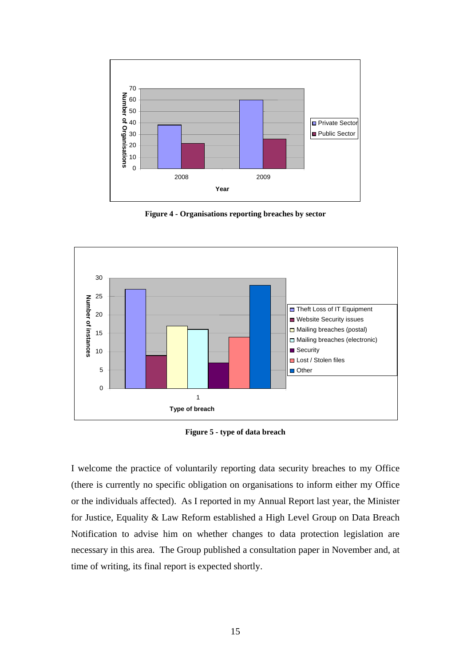<span id="page-14-0"></span>

**Figure 4 - Organisations reporting breaches by sector** 

<span id="page-14-1"></span>

**Figure 5 - type of data breach** 

<span id="page-14-2"></span>I welcome the practice of voluntarily reporting data security breaches to my Office (there is currently no specific obligation on organisations to inform either my Office or the individuals affected). As I reported in my Annual Report last year, the Minister for Justice, Equality & Law Reform established a High Level Group on Data Breach Notification to advise him on whether changes to data protection legislation are necessary in this area. The Group published a consultation paper in November and, at time of writing, its final report is expected shortly.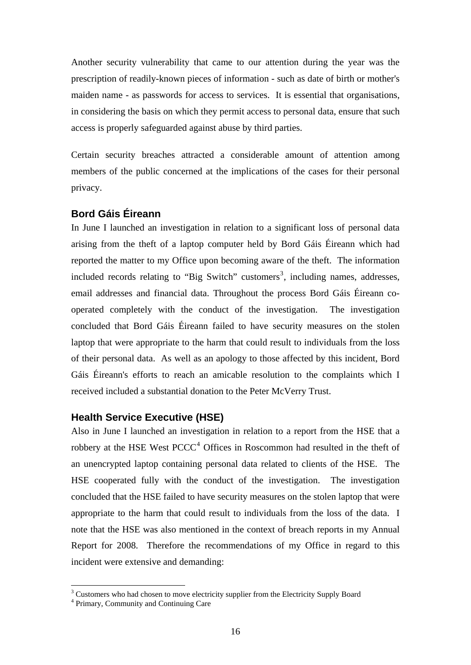<span id="page-15-0"></span>Another security vulnerability that came to our attention during the year was the prescription of readily-known pieces of information - such as date of birth or mother's maiden name - as passwords for access to services. It is essential that organisations, in considering the basis on which they permit access to personal data, ensure that such access is properly safeguarded against abuse by third parties.

Certain security breaches attracted a considerable amount of attention among members of the public concerned at the implications of the cases for their personal privacy.

## **Bord Gáis Éireann**

In June I launched an investigation in relation to a significant loss of personal data arising from the theft of a laptop computer held by Bord Gáis Éireann which had reported the matter to my Office upon becoming aware of the theft. The information included records relating to "Big Switch" customers<sup>[3](#page-15-1)</sup>, including names, addresses, email addresses and financial data. Throughout the process Bord Gáis Éireann cooperated completely with the conduct of the investigation. The investigation concluded that Bord Gáis Éireann failed to have security measures on the stolen laptop that were appropriate to the harm that could result to individuals from the loss of their personal data. As well as an apology to those affected by this incident, Bord Gáis Éireann's efforts to reach an amicable resolution to the complaints which I received included a substantial donation to the Peter McVerry Trust.

## **Health Service Executive (HSE)**

Also in June I launched an investigation in relation to a report from the HSE that a robbery at the HSE West  $PCCC<sup>4</sup>$  $PCCC<sup>4</sup>$  $PCCC<sup>4</sup>$  Offices in Roscommon had resulted in the theft of an unencrypted laptop containing personal data related to clients of the HSE. The HSE cooperated fully with the conduct of the investigation. The investigation concluded that the HSE failed to have security measures on the stolen laptop that were appropriate to the harm that could result to individuals from the loss of the data. I note that the HSE was also mentioned in the context of breach reports in my Annual Report for 2008. Therefore the recommendations of my Office in regard to this incident were extensive and demanding:

<u>.</u>

 $3 \text{ Customers}$  who had chosen to move electricity supplier from the Electricity Supply Board

<span id="page-15-2"></span><span id="page-15-1"></span>Primary, Community and Continuing Care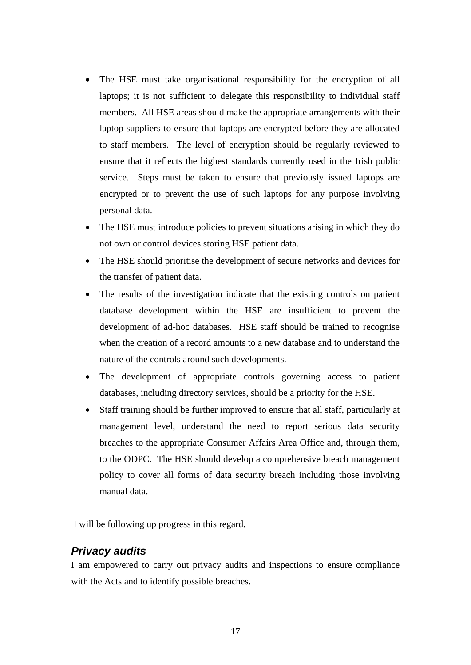- <span id="page-16-0"></span>The HSE must take organisational responsibility for the encryption of all laptops; it is not sufficient to delegate this responsibility to individual staff members. All HSE areas should make the appropriate arrangements with their laptop suppliers to ensure that laptops are encrypted before they are allocated to staff members. The level of encryption should be regularly reviewed to ensure that it reflects the highest standards currently used in the Irish public service. Steps must be taken to ensure that previously issued laptops are encrypted or to prevent the use of such laptops for any purpose involving personal data.
- The HSE must introduce policies to prevent situations arising in which they do not own or control devices storing HSE patient data.
- The HSE should prioritise the development of secure networks and devices for the transfer of patient data.
- The results of the investigation indicate that the existing controls on patient database development within the HSE are insufficient to prevent the development of ad-hoc databases. HSE staff should be trained to recognise when the creation of a record amounts to a new database and to understand the nature of the controls around such developments.
- The development of appropriate controls governing access to patient databases, including directory services, should be a priority for the HSE.
- Staff training should be further improved to ensure that all staff, particularly at management level, understand the need to report serious data security breaches to the appropriate Consumer Affairs Area Office and, through them, to the ODPC. The HSE should develop a comprehensive breach management policy to cover all forms of data security breach including those involving manual data.

I will be following up progress in this regard.

## *Privacy audits*

I am empowered to carry out privacy audits and inspections to ensure compliance with the Acts and to identify possible breaches.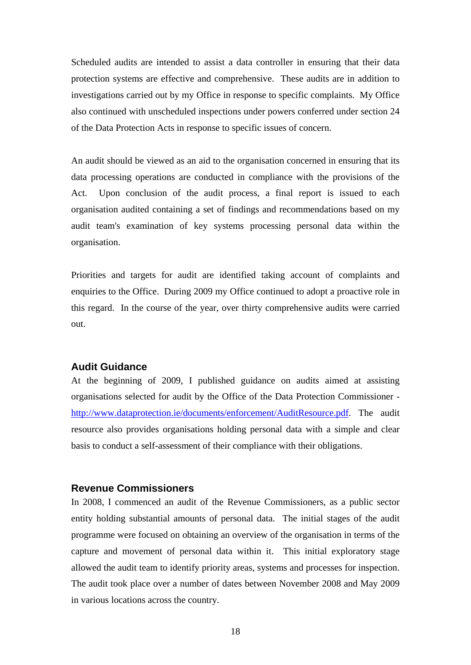<span id="page-17-0"></span>Scheduled audits are intended to assist a data controller in ensuring that their data protection systems are effective and comprehensive. These audits are in addition to investigations carried out by my Office in response to specific complaints. My Office also continued with unscheduled inspections under powers conferred under section 24 of the Data Protection Acts in response to specific issues of concern.

An audit should be viewed as an aid to the organisation concerned in ensuring that its data processing operations are conducted in compliance with the provisions of the Act. Upon conclusion of the audit process, a final report is issued to each organisation audited containing a set of findings and recommendations based on my audit team's examination of key systems processing personal data within the organisation.

Priorities and targets for audit are identified taking account of complaints and enquiries to the Office. During 2009 my Office continued to adopt a proactive role in this regard. In the course of the year, over thirty comprehensive audits were carried out.

#### **Audit Guidance**

At the beginning of 2009, I published guidance on audits aimed at assisting organisations selected for audit by the Office of the Data Protection Commissioner [http://www.dataprotection.ie/documents/enforcement/AuditResource.pdf.](http://www.dataprotection.ie/documents/enforcement/AuditResource.pdf) The audit resource also provides organisations holding personal data with a simple and clear basis to conduct a self-assessment of their compliance with their obligations.

## **Revenue Commissioners**

In 2008, I commenced an audit of the Revenue Commissioners, as a public sector entity holding substantial amounts of personal data. The initial stages of the audit programme were focused on obtaining an overview of the organisation in terms of the capture and movement of personal data within it. This initial exploratory stage allowed the audit team to identify priority areas, systems and processes for inspection. The audit took place over a number of dates between November 2008 and May 2009 in various locations across the country.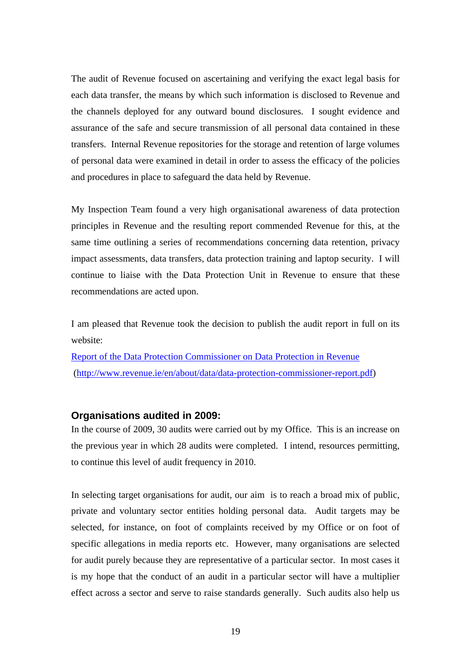<span id="page-18-0"></span>The audit of Revenue focused on ascertaining and verifying the exact legal basis for each data transfer, the means by which such information is disclosed to Revenue and the channels deployed for any outward bound disclosures. I sought evidence and assurance of the safe and secure transmission of all personal data contained in these transfers. Internal Revenue repositories for the storage and retention of large volumes of personal data were examined in detail in order to assess the efficacy of the policies and procedures in place to safeguard the data held by Revenue.

My Inspection Team found a very high organisational awareness of data protection principles in Revenue and the resulting report commended Revenue for this, at the same time outlining a series of recommendations concerning data retention, privacy impact assessments, data transfers, data protection training and laptop security. I will continue to liaise with the Data Protection Unit in Revenue to ensure that these recommendations are acted upon.

I am pleased that Revenue took the decision to publish the audit report in full on its website:

[Report of the Data Protection Commissioner on Data Protection in Revenue](http://www.revenue.ie/en/about/data/data-protection-commissioner-report.pdf) (<http://www.revenue.ie/en/about/data/data-protection-commissioner-report.pdf>)

#### **Organisations audited in 2009:**

In the course of 2009, 30 audits were carried out by my Office. This is an increase on the previous year in which 28 audits were completed. I intend, resources permitting, to continue this level of audit frequency in 2010.

In selecting target organisations for audit, our aim is to reach a broad mix of public, private and voluntary sector entities holding personal data. Audit targets may be selected, for instance, on foot of complaints received by my Office or on foot of specific allegations in media reports etc. However, many organisations are selected for audit purely because they are representative of a particular sector. In most cases it is my hope that the conduct of an audit in a particular sector will have a multiplier effect across a sector and serve to raise standards generally. Such audits also help us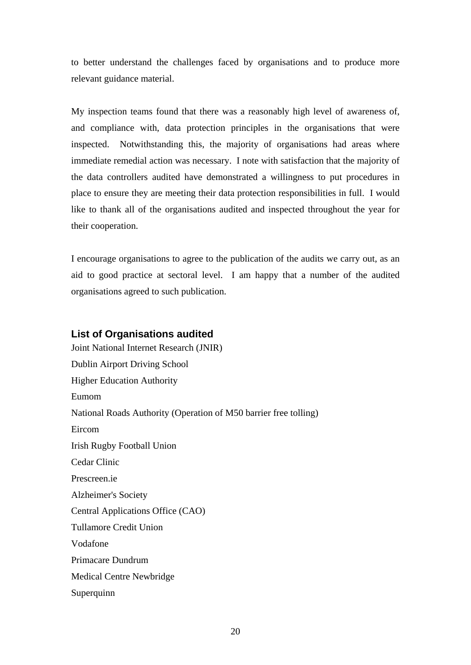<span id="page-19-0"></span>to better understand the challenges faced by organisations and to produce more relevant guidance material.

My inspection teams found that there was a reasonably high level of awareness of, and compliance with, data protection principles in the organisations that were inspected. Notwithstanding this, the majority of organisations had areas where immediate remedial action was necessary. I note with satisfaction that the majority of the data controllers audited have demonstrated a willingness to put procedures in place to ensure they are meeting their data protection responsibilities in full. I would like to thank all of the organisations audited and inspected throughout the year for their cooperation.

I encourage organisations to agree to the publication of the audits we carry out, as an aid to good practice at sectoral level. I am happy that a number of the audited organisations agreed to such publication.

#### **List of Organisations audited**

Joint National Internet Research (JNIR) Dublin Airport Driving School Higher Education Authority Eumom National Roads Authority (Operation of M50 barrier free tolling) Eircom Irish Rugby Football Union Cedar Clinic Prescreen.ie Alzheimer's Society Central Applications Office (CAO) Tullamore Credit Union Vodafone Primacare Dundrum Medical Centre Newbridge Superquinn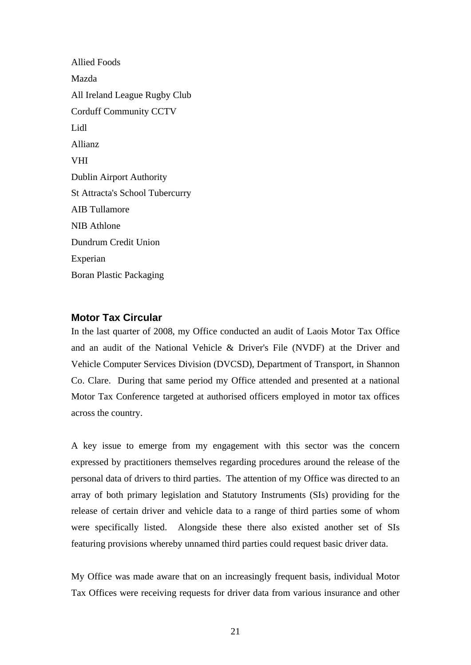<span id="page-20-0"></span>Allied Foods Mazda All Ireland League Rugby Club Corduff Community CCTV Lidl Allianz VHI Dublin Airport Authority St Attracta's School Tubercurry AIB Tullamore NIB Athlone Dundrum Credit Union Experian Boran Plastic Packaging

## **Motor Tax Circular**

In the last quarter of 2008, my Office conducted an audit of Laois Motor Tax Office and an audit of the National Vehicle & Driver's File (NVDF) at the Driver and Vehicle Computer Services Division (DVCSD), Department of Transport, in Shannon Co. Clare. During that same period my Office attended and presented at a national Motor Tax Conference targeted at authorised officers employed in motor tax offices across the country.

A key issue to emerge from my engagement with this sector was the concern expressed by practitioners themselves regarding procedures around the release of the personal data of drivers to third parties. The attention of my Office was directed to an array of both primary legislation and Statutory Instruments (SIs) providing for the release of certain driver and vehicle data to a range of third parties some of whom were specifically listed. Alongside these there also existed another set of SIs featuring provisions whereby unnamed third parties could request basic driver data.

My Office was made aware that on an increasingly frequent basis, individual Motor Tax Offices were receiving requests for driver data from various insurance and other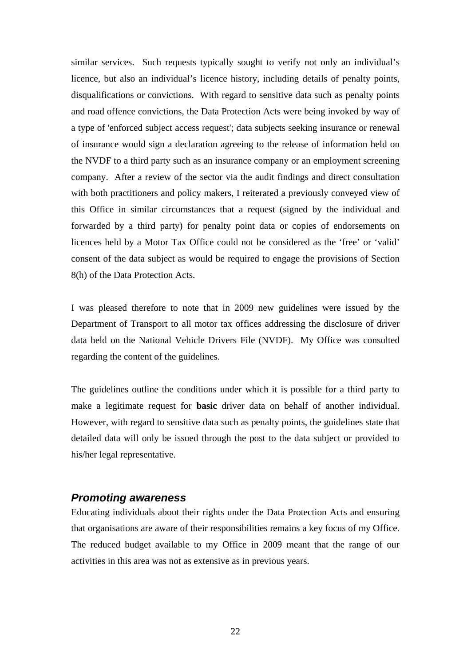<span id="page-21-0"></span>similar services. Such requests typically sought to verify not only an individual's licence, but also an individual's licence history, including details of penalty points, disqualifications or convictions. With regard to sensitive data such as penalty points and road offence convictions, the Data Protection Acts were being invoked by way of a type of 'enforced subject access request'; data subjects seeking insurance or renewal of insurance would sign a declaration agreeing to the release of information held on the NVDF to a third party such as an insurance company or an employment screening company. After a review of the sector via the audit findings and direct consultation with both practitioners and policy makers, I reiterated a previously conveyed view of this Office in similar circumstances that a request (signed by the individual and forwarded by a third party) for penalty point data or copies of endorsements on licences held by a Motor Tax Office could not be considered as the 'free' or 'valid' consent of the data subject as would be required to engage the provisions of Section 8(h) of the Data Protection Acts.

I was pleased therefore to note that in 2009 new guidelines were issued by the Department of Transport to all motor tax offices addressing the disclosure of driver data held on the National Vehicle Drivers File (NVDF). My Office was consulted regarding the content of the guidelines.

The guidelines outline the conditions under which it is possible for a third party to make a legitimate request for **basic** driver data on behalf of another individual. However, with regard to sensitive data such as penalty points, the guidelines state that detailed data will only be issued through the post to the data subject or provided to his/her legal representative.

## *Promoting awareness*

Educating individuals about their rights under the Data Protection Acts and ensuring that organisations are aware of their responsibilities remains a key focus of my Office. The reduced budget available to my Office in 2009 meant that the range of our activities in this area was not as extensive as in previous years.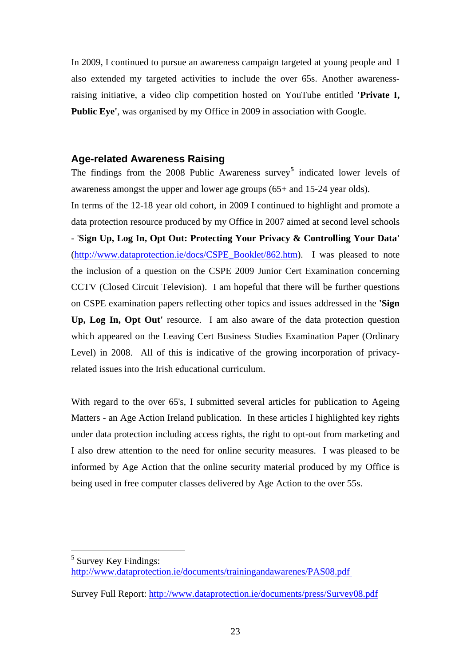<span id="page-22-0"></span>In 2009, I continued to pursue an awareness campaign targeted at young people and I also extended my targeted activities to include the over 65s. Another awarenessraising initiative, a video clip competition hosted on YouTube entitled **'Private I,**  Public Eye', was organised by my Office in 2009 in association with Google.

#### **Age-related Awareness Raising**

The findings from the 2008 Public Awareness survey**[5](#page-22-1)** indicated lower levels of awareness amongst the upper and lower age groups (65+ and 15-24 year olds).

In terms of the 12-18 year old cohort, in 2009 I continued to highlight and promote a data protection resource produced by my Office in 2007 aimed at second level schools - '**Sign Up, Log In, Opt Out: Protecting Your Privacy & Controlling Your Data'** ([http://www.dataprotection.ie/docs/CSPE\\_Booklet/862.htm](http://www.dataprotection.ie/docs/CSPE_Booklet/862.htm)). I was pleased to note the inclusion of a question on the CSPE 2009 Junior Cert Examination concerning CCTV (Closed Circuit Television). I am hopeful that there will be further questions on CSPE examination papers reflecting other topics and issues addressed in the **'Sign Up, Log In, Opt Out'** resource. I am also aware of the data protection question which appeared on the Leaving Cert Business Studies Examination Paper (Ordinary Level) in 2008. All of this is indicative of the growing incorporation of privacyrelated issues into the Irish educational curriculum.

With regard to the over 65's, I submitted several articles for publication to Ageing Matters - an Age Action Ireland publication. In these articles I highlighted key rights under data protection including access rights, the right to opt-out from marketing and I also drew attention to the need for online security measures. I was pleased to be informed by Age Action that the online security material produced by my Office is being used in free computer classes delivered by Age Action to the over 55s.

1

<span id="page-22-1"></span><sup>&</sup>lt;sup>5</sup> Survey Key Findings[:](http://www.dataprotection.ie/documents/trainingandawarenes/PAS08.pdf) <http://www.dataprotection.ie/documents/trainingandawarenes/PAS08.pdf>

Survey Full Report:<http://www.dataprotection.ie/documents/press/Survey08.pdf>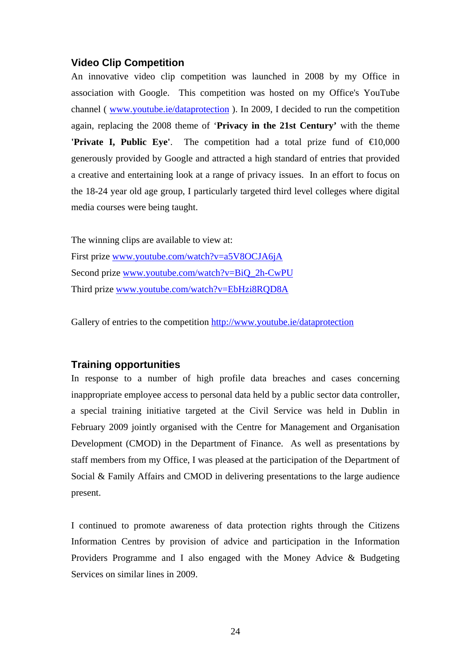## <span id="page-23-0"></span>**Video Clip Competition**

An innovative video clip competition was launched in 2008 by my Office in association with Google. This competition was hosted on my Office's YouTube channel ( [www.youtube.ie/dataprotection](http://www.youtube.ie/dataprotection) ). In 2009, I decided to run the competition again, replacing the 2008 theme of '**Privacy in the 21st Century'** with the theme **'Private I, Public Eye'.** The competition had a total prize fund of  $\in$  0,000 generously provided by Google and attracted a high standard of entries that provided a creative and entertaining look at a range of privacy issues. In an effort to focus on the 18-24 year old age group, I particularly targeted third level colleges where digital media courses were being taught.

The winning clips are available to view at: First prize [www.youtube.com/watch?v=a5V8OCJA6jA](http://www.youtube.com/watch?v=a5V8OCJA6jA) Second prize [www.youtube.com/watch?v=BiQ\\_2h-CwPU](http://www.youtube.com/watch?v=BiQ_2h-CwPU) Third prize [www.youtube.com/watch?v=EbHzi8RQD8A](http://www.youtube.com/watch?v=EbHzi8RQD8A)

Gallery of entries to the competition<http://www.youtube.ie/dataprotection>

#### **Training opportunities**

In response to a number of high profile data breaches and cases concerning inappropriate employee access to personal data held by a public sector data controller, a special training initiative targeted at the Civil Service was held in Dublin in February 2009 jointly organised with the Centre for Management and Organisation Development (CMOD) in the Department of Finance. As well as presentations by staff members from my Office, I was pleased at the participation of the Department of Social & Family Affairs and CMOD in delivering presentations to the large audience present.

I continued to promote awareness of data protection rights through the Citizens Information Centres by provision of advice and participation in the Information Providers Programme and I also engaged with the Money Advice & Budgeting Services on similar lines in 2009.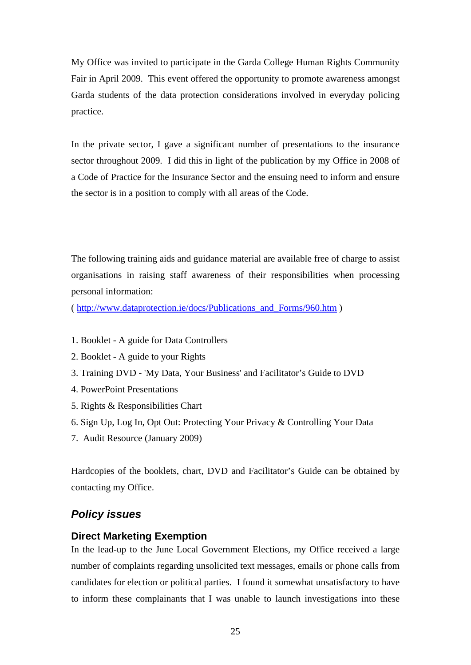<span id="page-24-0"></span>My Office was invited to participate in the Garda College Human Rights Community Fair in April 2009. This event offered the opportunity to promote awareness amongst Garda students of the data protection considerations involved in everyday policing practice.

In the private sector, I gave a significant number of presentations to the insurance sector throughout 2009. I did this in light of the publication by my Office in 2008 of a Code of Practice for the Insurance Sector and the ensuing need to inform and ensure the sector is in a position to comply with all areas of the Code.

The following training aids and guidance material are available free of charge to assist organisations in raising staff awareness of their responsibilities when processing personal information:

( [http://www.dataprotection.ie/docs/Publications\\_and\\_Forms/960.htm](http://www.dataprotection.ie/docs/Publications_and_Forms/960.htm) )

- 1. Booklet A guide for Data Controllers
- 2. Booklet A guide to your Rights
- 3. Training DVD 'My Data, Your Business' and Facilitator's Guide to DVD
- 4. PowerPoint Presentations
- 5. Rights & Responsibilities Chart
- 6. Sign Up, Log In, Opt Out: Protecting Your Privacy & Controlling Your Data
- 7. Audit Resource (January 2009)

Hardcopies of the booklets, chart, DVD and Facilitator's Guide can be obtained by contacting my Office.

## *Policy issues*

#### **Direct Marketing Exemption**

In the lead-up to the June Local Government Elections, my Office received a large number of complaints regarding unsolicited text messages, emails or phone calls from candidates for election or political parties. I found it somewhat unsatisfactory to have to inform these complainants that I was unable to launch investigations into these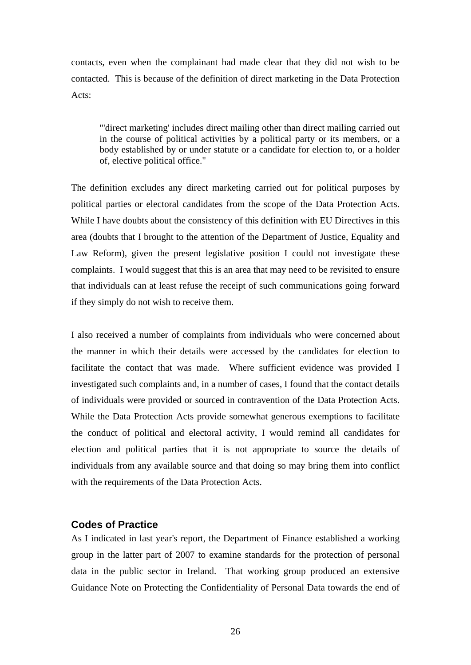<span id="page-25-0"></span>contacts, even when the complainant had made clear that they did not wish to be contacted. This is because of the definition of direct marketing in the Data Protection Acts:

 "'direct marketing' includes direct mailing other than direct mailing carried out in the course of political activities by a political party or its members, or a body established by or under statute or a candidate for election to, or a holder of, elective political office."

The definition excludes any direct marketing carried out for political purposes by political parties or electoral candidates from the scope of the Data Protection Acts. While I have doubts about the consistency of this definition with EU Directives in this area (doubts that I brought to the attention of the Department of Justice, Equality and Law Reform), given the present legislative position I could not investigate these complaints. I would suggest that this is an area that may need to be revisited to ensure that individuals can at least refuse the receipt of such communications going forward if they simply do not wish to receive them.

I also received a number of complaints from individuals who were concerned about the manner in which their details were accessed by the candidates for election to facilitate the contact that was made. Where sufficient evidence was provided I investigated such complaints and, in a number of cases, I found that the contact details of individuals were provided or sourced in contravention of the Data Protection Acts. While the Data Protection Acts provide somewhat generous exemptions to facilitate the conduct of political and electoral activity, I would remind all candidates for election and political parties that it is not appropriate to source the details of individuals from any available source and that doing so may bring them into conflict with the requirements of the Data Protection Acts.

## **Codes of Practice**

As I indicated in last year's report, the Department of Finance established a working group in the latter part of 2007 to examine standards for the protection of personal data in the public sector in Ireland. That working group produced an extensive Guidance Note on Protecting the Confidentiality of Personal Data towards the end of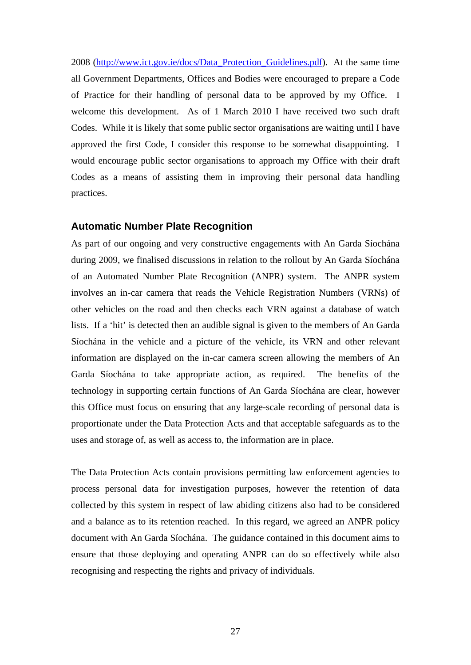2008 ([http://www.ict.gov.ie/docs/Data\\_Protection\\_Guidelines.pdf\)](http://www.ict.gov.ie/docs/Data_Protection_Guidelines.pdf). At the same time all Government Departments, Offices and Bodies were encouraged to prepare a Code of Practice for their handling of personal data to be approved by my Office. I welcome this development. As of 1 March 2010 I have received two such draft Codes. While it is likely that some public sector organisations are waiting until I have approved the first Code, I consider this response to be somewhat disappointing. I would encourage public sector organisations to approach my Office with their draft Codes as a means of assisting them in improving their personal data handling practices.

#### **Automatic Number Plate Recognition**

As part of our ongoing and very constructive engagements with An Garda Síochána during 2009, we finalised discussions in relation to the rollout by An Garda Síochána of an Automated Number Plate Recognition (ANPR) system. The ANPR system involves an in-car camera that reads the Vehicle Registration Numbers (VRNs) of other vehicles on the road and then checks each VRN against a database of watch lists. If a 'hit' is detected then an audible signal is given to the members of An Garda Síochána in the vehicle and a picture of the vehicle, its VRN and other relevant information are displayed on the in-car camera screen allowing the members of An Garda Síochána to take appropriate action, as required. The benefits of the technology in supporting certain functions of An Garda Síochána are clear, however this Office must focus on ensuring that any large-scale recording of personal data is proportionate under the Data Protection Acts and that acceptable safeguards as to the uses and storage of, as well as access to, the information are in place.

The Data Protection Acts contain provisions permitting law enforcement agencies to process personal data for investigation purposes, however the retention of data collected by this system in respect of law abiding citizens also had to be considered and a balance as to its retention reached. In this regard, we agreed an ANPR policy document with An Garda Síochána. The guidance contained in this document aims to ensure that those deploying and operating ANPR can do so effectively while also recognising and respecting the rights and privacy of individuals.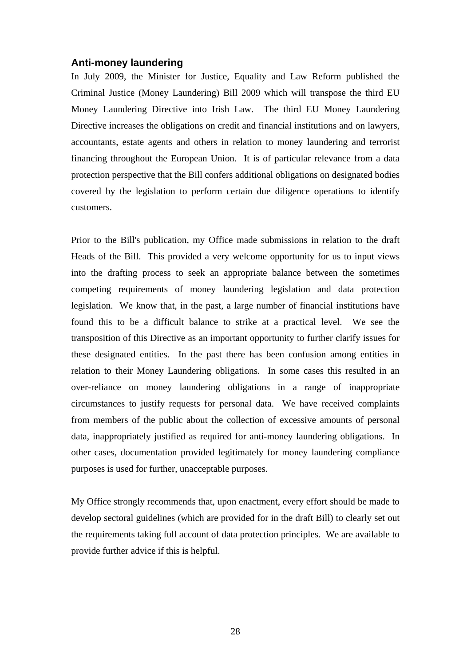#### <span id="page-27-0"></span>**Anti-money laundering**

In July 2009, the Minister for Justice, Equality and Law Reform published the Criminal Justice (Money Laundering) Bill 2009 which will transpose the third EU Money Laundering Directive into Irish Law. The third EU Money Laundering Directive increases the obligations on credit and financial institutions and on lawyers, accountants, estate agents and others in relation to money laundering and terrorist financing throughout the European Union. It is of particular relevance from a data protection perspective that the Bill confers additional obligations on designated bodies covered by the legislation to perform certain due diligence operations to identify customers.

Prior to the Bill's publication, my Office made submissions in relation to the draft Heads of the Bill. This provided a very welcome opportunity for us to input views into the drafting process to seek an appropriate balance between the sometimes competing requirements of money laundering legislation and data protection legislation. We know that, in the past, a large number of financial institutions have found this to be a difficult balance to strike at a practical level. We see the transposition of this Directive as an important opportunity to further clarify issues for these designated entities. In the past there has been confusion among entities in relation to their Money Laundering obligations. In some cases this resulted in an over-reliance on money laundering obligations in a range of inappropriate circumstances to justify requests for personal data. We have received complaints from members of the public about the collection of excessive amounts of personal data, inappropriately justified as required for anti-money laundering obligations. In other cases, documentation provided legitimately for money laundering compliance purposes is used for further, unacceptable purposes.

My Office strongly recommends that, upon enactment, every effort should be made to develop sectoral guidelines (which are provided for in the draft Bill) to clearly set out the requirements taking full account of data protection principles. We are available to provide further advice if this is helpful.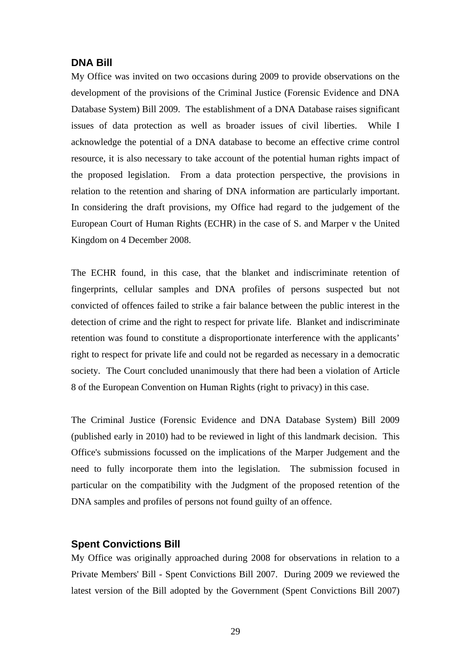## <span id="page-28-0"></span>**DNA Bill**

My Office was invited on two occasions during 2009 to provide observations on the development of the provisions of the Criminal Justice (Forensic Evidence and DNA Database System) Bill 2009. The establishment of a DNA Database raises significant issues of data protection as well as broader issues of civil liberties. While I acknowledge the potential of a DNA database to become an effective crime control resource, it is also necessary to take account of the potential human rights impact of the proposed legislation. From a data protection perspective, the provisions in relation to the retention and sharing of DNA information are particularly important. In considering the draft provisions, my Office had regard to the judgement of the European Court of Human Rights (ECHR) in the case of S. and Marper v the United Kingdom on 4 December 2008.

The ECHR found, in this case, that the blanket and indiscriminate retention of fingerprints, cellular samples and DNA profiles of persons suspected but not convicted of offences failed to strike a fair balance between the public interest in the detection of crime and the right to respect for private life. Blanket and indiscriminate retention was found to constitute a disproportionate interference with the applicants' right to respect for private life and could not be regarded as necessary in a democratic society. The Court concluded unanimously that there had been a violation of Article 8 of the European Convention on Human Rights (right to privacy) in this case.

The Criminal Justice (Forensic Evidence and DNA Database System) Bill 2009 (published early in 2010) had to be reviewed in light of this landmark decision. This Office's submissions focussed on the implications of the Marper Judgement and the need to fully incorporate them into the legislation. The submission focused in particular on the compatibility with the Judgment of the proposed retention of the DNA samples and profiles of persons not found guilty of an offence.

#### **Spent Convictions Bill**

My Office was originally approached during 2008 for observations in relation to a Private Members' Bill - Spent Convictions Bill 2007. During 2009 we reviewed the latest version of the Bill adopted by the Government (Spent Convictions Bill 2007)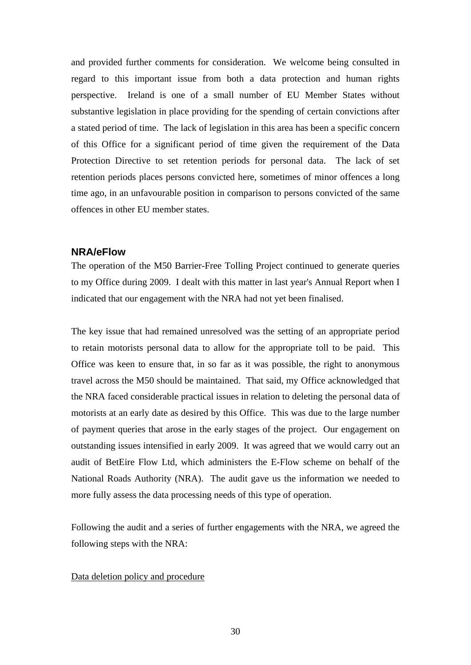<span id="page-29-0"></span>and provided further comments for consideration. We welcome being consulted in regard to this important issue from both a data protection and human rights perspective. Ireland is one of a small number of EU Member States without substantive legislation in place providing for the spending of certain convictions after a stated period of time. The lack of legislation in this area has been a specific concern of this Office for a significant period of time given the requirement of the Data Protection Directive to set retention periods for personal data. The lack of set retention periods places persons convicted here, sometimes of minor offences a long time ago, in an unfavourable position in comparison to persons convicted of the same offences in other EU member states.

#### **NRA/eFlow**

The operation of the M50 Barrier-Free Tolling Project continued to generate queries to my Office during 2009. I dealt with this matter in last year's Annual Report when I indicated that our engagement with the NRA had not yet been finalised.

The key issue that had remained unresolved was the setting of an appropriate period to retain motorists personal data to allow for the appropriate toll to be paid. This Office was keen to ensure that, in so far as it was possible, the right to anonymous travel across the M50 should be maintained. That said, my Office acknowledged that the NRA faced considerable practical issues in relation to deleting the personal data of motorists at an early date as desired by this Office. This was due to the large number of payment queries that arose in the early stages of the project. Our engagement on outstanding issues intensified in early 2009. It was agreed that we would carry out an audit of BetEire Flow Ltd, which administers the E-Flow scheme on behalf of the National Roads Authority (NRA). The audit gave us the information we needed to more fully assess the data processing needs of this type of operation.

Following the audit and a series of further engagements with the NRA, we agreed the following steps with the NRA:

#### Data deletion policy and procedure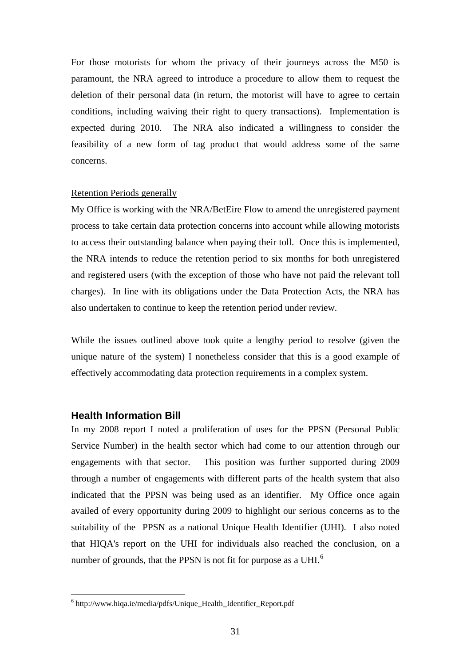<span id="page-30-0"></span>For those motorists for whom the privacy of their journeys across the M50 is paramount, the NRA agreed to introduce a procedure to allow them to request the deletion of their personal data (in return, the motorist will have to agree to certain conditions, including waiving their right to query transactions). Implementation is expected during 2010. The NRA also indicated a willingness to consider the feasibility of a new form of tag product that would address some of the same concerns.

#### Retention Periods generally

My Office is working with the NRA/BetEire Flow to amend the unregistered payment process to take certain data protection concerns into account while allowing motorists to access their outstanding balance when paying their toll. Once this is implemented, the NRA intends to reduce the retention period to six months for both unregistered and registered users (with the exception of those who have not paid the relevant toll charges). In line with its obligations under the Data Protection Acts, the NRA has also undertaken to continue to keep the retention period under review.

While the issues outlined above took quite a lengthy period to resolve (given the unique nature of the system) I nonetheless consider that this is a good example of effectively accommodating data protection requirements in a complex system.

#### **Health Information Bill**

1

In my 2008 report I noted a proliferation of uses for the PPSN (Personal Public Service Number) in the health sector which had come to our attention through our engagements with that sector. This position was further supported during 2009 through a number of engagements with different parts of the health system that also indicated that the PPSN was being used as an identifier. My Office once again availed of every opportunity during 2009 to highlight our serious concerns as to the suitability of the PPSN as a national Unique Health Identifier (UHI). I also noted that HIQA's report on the UHI for individuals also reached the conclusion, on a number of grounds, that the PPSN is not fit for purpose as a UHI.<sup>[6](#page-30-1)</sup>

<span id="page-30-1"></span><sup>6</sup> http://www.hiqa.ie/media/pdfs/Unique\_Health\_Identifier\_Report.pdf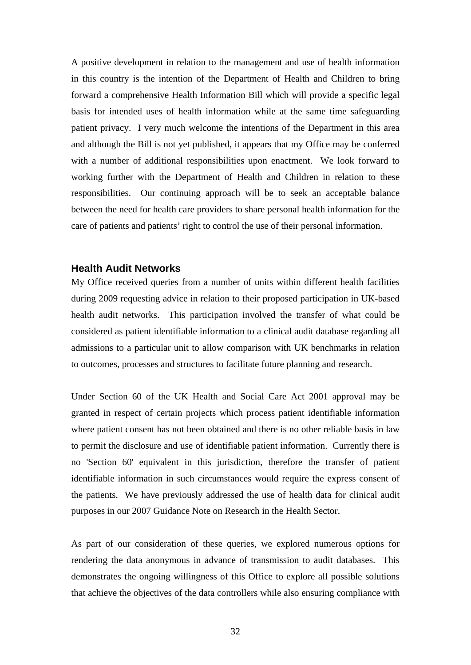<span id="page-31-0"></span>A positive development in relation to the management and use of health information in this country is the intention of the Department of Health and Children to bring forward a comprehensive Health Information Bill which will provide a specific legal basis for intended uses of health information while at the same time safeguarding patient privacy. I very much welcome the intentions of the Department in this area and although the Bill is not yet published, it appears that my Office may be conferred with a number of additional responsibilities upon enactment. We look forward to working further with the Department of Health and Children in relation to these responsibilities. Our continuing approach will be to seek an acceptable balance between the need for health care providers to share personal health information for the care of patients and patients' right to control the use of their personal information.

## **Health Audit Networks**

My Office received queries from a number of units within different health facilities during 2009 requesting advice in relation to their proposed participation in UK-based health audit networks. This participation involved the transfer of what could be considered as patient identifiable information to a clinical audit database regarding all admissions to a particular unit to allow comparison with UK benchmarks in relation to outcomes, processes and structures to facilitate future planning and research.

Under Section 60 of the UK Health and Social Care Act 2001 approval may be granted in respect of certain projects which process patient identifiable information where patient consent has not been obtained and there is no other reliable basis in law to permit the disclosure and use of identifiable patient information. Currently there is no 'Section 60' equivalent in this jurisdiction, therefore the transfer of patient identifiable information in such circumstances would require the express consent of the patients. We have previously addressed the use of health data for clinical audit purposes in our 2007 Guidance Note on Research in the Health Sector.

As part of our consideration of these queries, we explored numerous options for rendering the data anonymous in advance of transmission to audit databases. This demonstrates the ongoing willingness of this Office to explore all possible solutions that achieve the objectives of the data controllers while also ensuring compliance with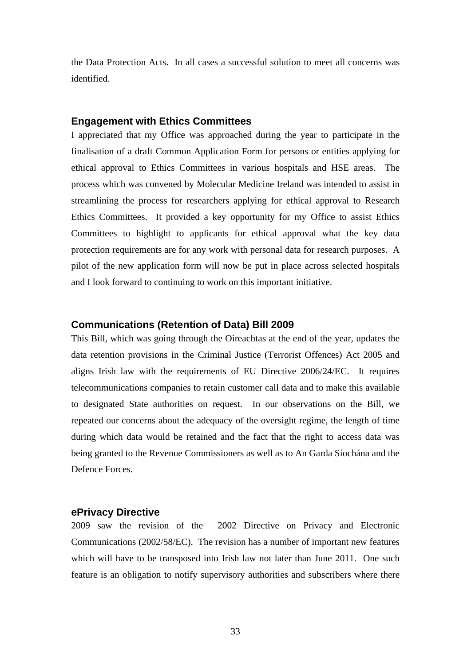<span id="page-32-0"></span>the Data Protection Acts. In all cases a successful solution to meet all concerns was identified.

#### **Engagement with Ethics Committees**

I appreciated that my Office was approached during the year to participate in the finalisation of a draft Common Application Form for persons or entities applying for ethical approval to Ethics Committees in various hospitals and HSE areas. The process which was convened by Molecular Medicine Ireland was intended to assist in streamlining the process for researchers applying for ethical approval to Research Ethics Committees. It provided a key opportunity for my Office to assist Ethics Committees to highlight to applicants for ethical approval what the key data protection requirements are for any work with personal data for research purposes. A pilot of the new application form will now be put in place across selected hospitals and I look forward to continuing to work on this important initiative.

#### **Communications (Retention of Data) Bill 2009**

This Bill, which was going through the Oireachtas at the end of the year, updates the data retention provisions in the Criminal Justice (Terrorist Offences) Act 2005 and aligns Irish law with the requirements of EU Directive 2006/24/EC. It requires telecommunications companies to retain customer call data and to make this available to designated State authorities on request. In our observations on the Bill, we repeated our concerns about the adequacy of the oversight regime, the length of time during which data would be retained and the fact that the right to access data was being granted to the Revenue Commissioners as well as to An Garda Síochána and the Defence Forces.

#### **ePrivacy Directive**

2009 saw the revision of the 2002 Directive on Privacy and Electronic Communications (2002/58/EC). The revision has a number of important new features which will have to be transposed into Irish law not later than June 2011. One such feature is an obligation to notify supervisory authorities and subscribers where there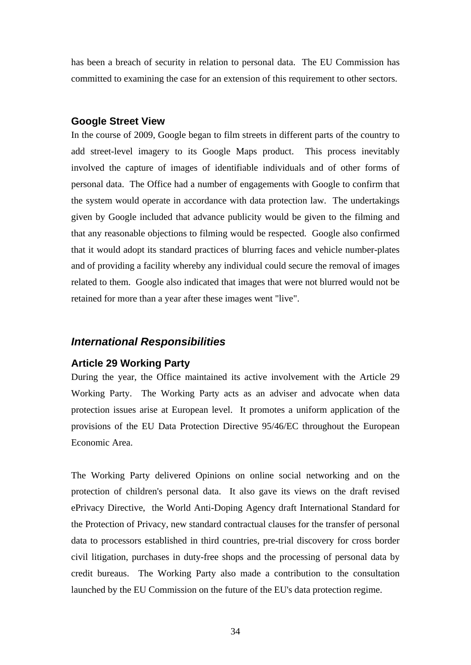<span id="page-33-0"></span>has been a breach of security in relation to personal data. The EU Commission has committed to examining the case for an extension of this requirement to other sectors.

#### **Google Street View**

In the course of 2009, Google began to film streets in different parts of the country to add street-level imagery to its Google Maps product. This process inevitably involved the capture of images of identifiable individuals and of other forms of personal data. The Office had a number of engagements with Google to confirm that the system would operate in accordance with data protection law. The undertakings given by Google included that advance publicity would be given to the filming and that any reasonable objections to filming would be respected. Google also confirmed that it would adopt its standard practices of blurring faces and vehicle number-plates and of providing a facility whereby any individual could secure the removal of images related to them. Google also indicated that images that were not blurred would not be retained for more than a year after these images went "live".

#### *International Responsibilities*

#### **Article 29 Working Party**

During the year, the Office maintained its active involvement with the Article 29 Working Party. The Working Party acts as an adviser and advocate when data protection issues arise at European level. It promotes a uniform application of the provisions of the EU Data Protection Directive 95/46/EC throughout the European Economic Area.

The Working Party delivered Opinions on online social networking and on the protection of children's personal data. It also gave its views on the draft revised ePrivacy Directive, the World Anti-Doping Agency draft International Standard for the Protection of Privacy, new standard contractual clauses for the transfer of personal data to processors established in third countries, pre-trial discovery for cross border civil litigation, purchases in duty-free shops and the processing of personal data by credit bureaus. The Working Party also made a contribution to the consultation launched by the EU Commission on the future of the EU's data protection regime.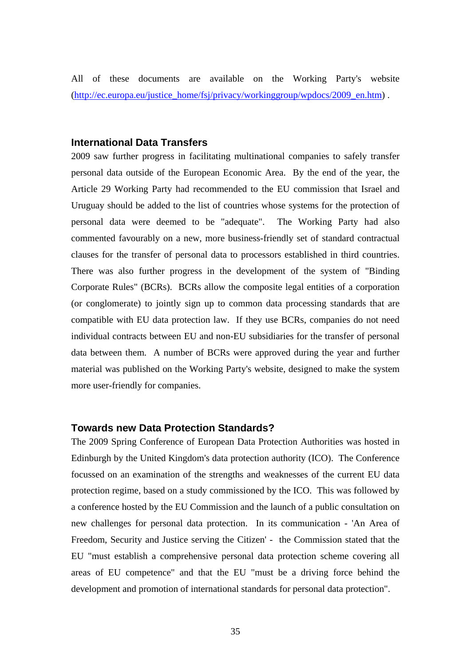<span id="page-34-0"></span>All of these documents are available on the Working Party's website ([http://ec.europa.eu/justice\\_home/fsj/privacy/workinggroup/wpdocs/2009\\_en.htm\)](http://ec.europa.eu/justice_home/fsj/privacy/workinggroup/wpdocs/2009_en.htm).

## **International Data Transfers**

2009 saw further progress in facilitating multinational companies to safely transfer personal data outside of the European Economic Area. By the end of the year, the Article 29 Working Party had recommended to the EU commission that Israel and Uruguay should be added to the list of countries whose systems for the protection of personal data were deemed to be "adequate". The Working Party had also commented favourably on a new, more business-friendly set of standard contractual clauses for the transfer of personal data to processors established in third countries. There was also further progress in the development of the system of "Binding Corporate Rules" (BCRs). BCRs allow the composite legal entities of a corporation (or conglomerate) to jointly sign up to common data processing standards that are compatible with EU data protection law. If they use BCRs, companies do not need individual contracts between EU and non-EU subsidiaries for the transfer of personal data between them. A number of BCRs were approved during the year and further material was published on the Working Party's website, designed to make the system more user-friendly for companies.

#### **Towards new Data Protection Standards?**

The 2009 Spring Conference of European Data Protection Authorities was hosted in Edinburgh by the United Kingdom's data protection authority (ICO). The Conference focussed on an examination of the strengths and weaknesses of the current EU data protection regime, based on a study commissioned by the ICO. This was followed by a conference hosted by the EU Commission and the launch of a public consultation on new challenges for personal data protection. In its communication - 'An Area of Freedom, Security and Justice serving the Citizen' - the Commission stated that the EU "must establish a comprehensive personal data protection scheme covering all areas of EU competence" and that the EU "must be a driving force behind the development and promotion of international standards for personal data protection".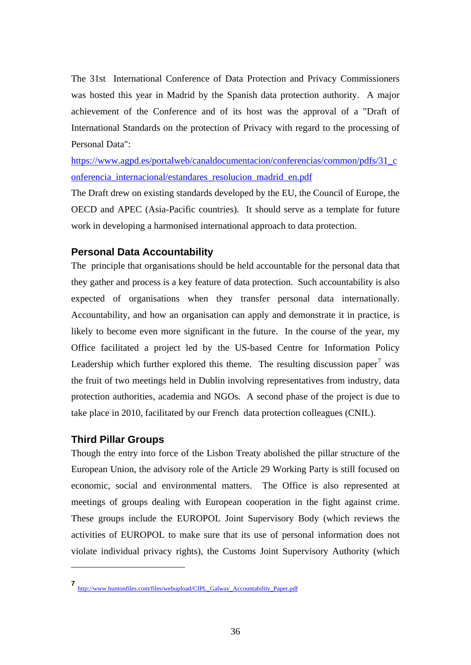<span id="page-35-0"></span>The 31st International Conference of Data Protection and Privacy Commissioners was hosted this year in Madrid by the Spanish data protection authority. A major achievement of the Conference and of its host was the approval of a "Draft of International Standards on the protection of Privacy with regard to the processing of Personal Data":

[https://www.agpd.es/portalweb/canaldocumentacion/conferencias/common/pdfs/31\\_c](https://www.agpd.es/portalweb/canaldocumentacion/conferencias/common/pdfs/31_conferencia_internacional/estandares_resolucion_madrid_en.pdf) [onferencia\\_internacional/estandares\\_resolucion\\_madrid\\_en.pdf](https://www.agpd.es/portalweb/canaldocumentacion/conferencias/common/pdfs/31_conferencia_internacional/estandares_resolucion_madrid_en.pdf) 

The Draft drew on existing standards developed by the EU, the Council of Europe, the OECD and APEC (Asia-Pacific countries). It should serve as a template for future work in developing a harmonised international approach to data protection.

## **Personal Data Accountability**

The principle that organisations should be held accountable for the personal data that they gather and process is a key feature of data protection. Such accountability is also expected of organisations when they transfer personal data internationally. Accountability, and how an organisation can apply and demonstrate it in practice, is likely to become even more significant in the future. In the course of the year, my Office facilitated a project led by the US-based Centre for Information Policy Leadership which further explored this theme. The resulting discussion paper<sup>[7](#page-35-1)</sup> was the fruit of two meetings held in Dublin involving representatives from industry, data protection authorities, academia and NGOs. A second phase of the project is due to take place in 2010, facilitated by our French data protection colleagues (CNIL).

## **Third Pillar Groups**

1

Though the entry into force of the Lisbon Treaty abolished the pillar structure of the European Union, the advisory role of the Article 29 Working Party is still focused on economic, social and environmental matters. The Office is also represented at meetings of groups dealing with European cooperation in the fight against crime. These groups include the EUROPOL Joint Supervisory Body (which reviews the activities of EUROPOL to make sure that its use of personal information does not violate individual privacy rights), the Customs Joint Supervisory Authority (which

<span id="page-35-1"></span>**<sup>7</sup>** [http://www.huntonfiles.com/files/webupload/CIPL\\_Galway\\_Accountability\\_Paper.pdf](http://www.huntonfiles.com/files/webupload/CIPL_Galway_Accountability_Paper.pdf)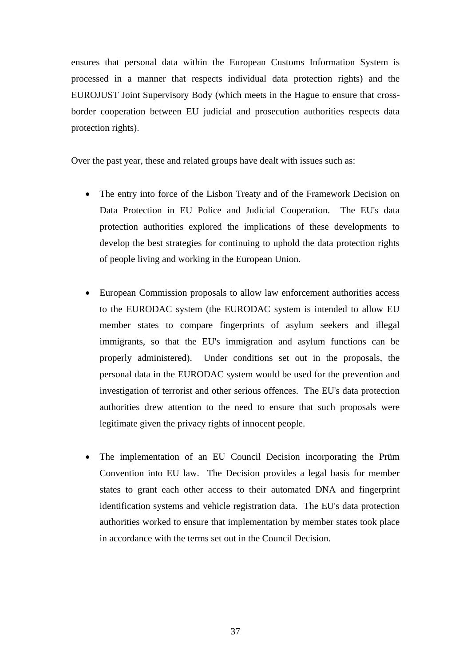ensures that personal data within the European Customs Information System is processed in a manner that respects individual data protection rights) and the EUROJUST Joint Supervisory Body (which meets in the Hague to ensure that crossborder cooperation between EU judicial and prosecution authorities respects data protection rights).

Over the past year, these and related groups have dealt with issues such as:

- The entry into force of the Lisbon Treaty and of the Framework Decision on Data Protection in EU Police and Judicial Cooperation. The EU's data protection authorities explored the implications of these developments to develop the best strategies for continuing to uphold the data protection rights of people living and working in the European Union.
- European Commission proposals to allow law enforcement authorities access to the EURODAC system (the EURODAC system is intended to allow EU member states to compare fingerprints of asylum seekers and illegal immigrants, so that the EU's immigration and asylum functions can be properly administered). Under conditions set out in the proposals, the personal data in the EURODAC system would be used for the prevention and investigation of terrorist and other serious offences. The EU's data protection authorities drew attention to the need to ensure that such proposals were legitimate given the privacy rights of innocent people.
- The implementation of an EU Council Decision incorporating the Prüm Convention into EU law. The Decision provides a legal basis for member states to grant each other access to their automated DNA and fingerprint identification systems and vehicle registration data. The EU's data protection authorities worked to ensure that implementation by member states took place in accordance with the terms set out in the Council Decision.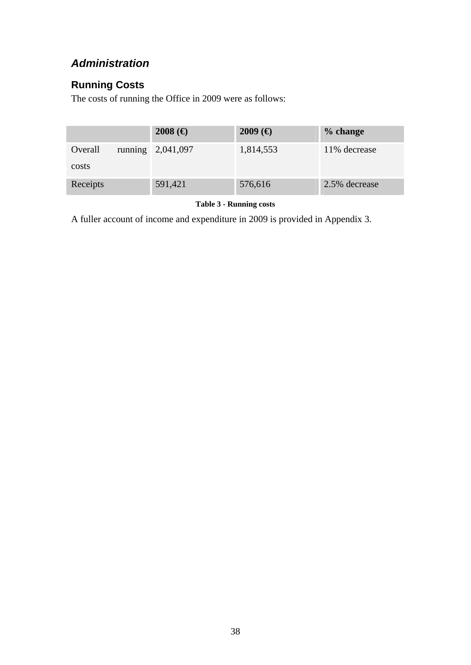## *Administration*

## **Running Costs**

The costs of running the Office in 2009 were as follows:

|          | $2008$ (€)          | $2009$ (€) | % change      |
|----------|---------------------|------------|---------------|
| Overall  | running $2,041,097$ | 1,814,553  | 11% decrease  |
| costs    |                     |            |               |
| Receipts | 591,421             | 576,616    | 2.5% decrease |

**Table 3 - Running costs** 

A fuller account of income and expenditure in 2009 is provided in Appendix 3.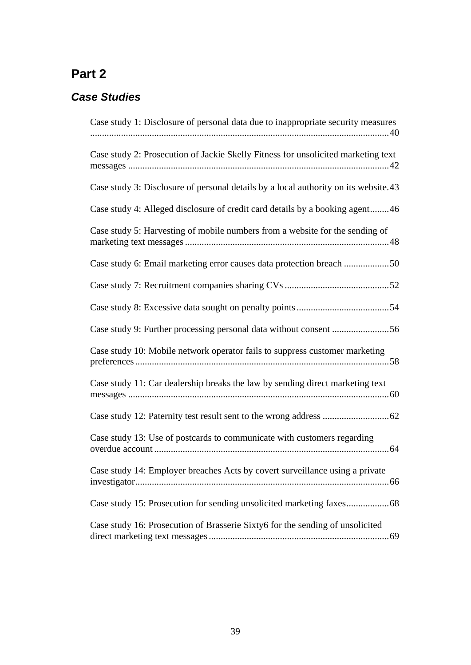## **Part 2**

## *Case Studies*

| Case study 1: Disclosure of personal data due to inappropriate security measures    |
|-------------------------------------------------------------------------------------|
| Case study 2: Prosecution of Jackie Skelly Fitness for unsolicited marketing text   |
| Case study 3: Disclosure of personal details by a local authority on its website.43 |
| Case study 4: Alleged disclosure of credit card details by a booking agent46        |
| Case study 5: Harvesting of mobile numbers from a website for the sending of        |
| Case study 6: Email marketing error causes data protection breach 50                |
|                                                                                     |
|                                                                                     |
|                                                                                     |
| Case study 10: Mobile network operator fails to suppress customer marketing         |
| Case study 11: Car dealership breaks the law by sending direct marketing text       |
|                                                                                     |
| Case study 13: Use of postcards to communicate with customers regarding             |
| Case study 14: Employer breaches Acts by covert surveillance using a private        |
|                                                                                     |
| Case study 16: Prosecution of Brasserie Sixty6 for the sending of unsolicited       |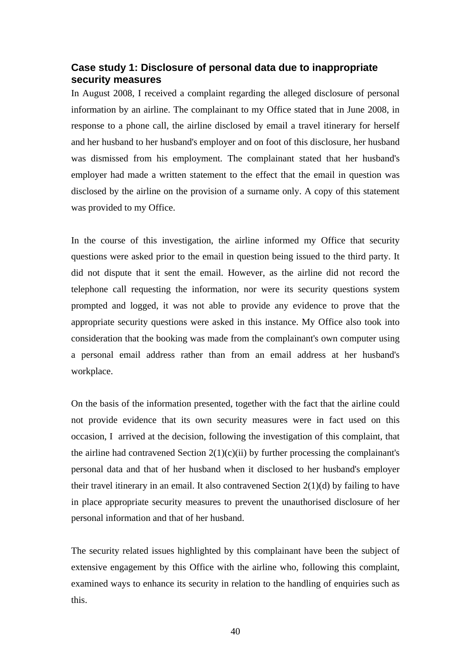## <span id="page-39-0"></span>**Case study 1: Disclosure of personal data due to inappropriate security measures**

In August 2008, I received a complaint regarding the alleged disclosure of personal information by an airline. The complainant to my Office stated that in June 2008, in response to a phone call, the airline disclosed by email a travel itinerary for herself and her husband to her husband's employer and on foot of this disclosure, her husband was dismissed from his employment. The complainant stated that her husband's employer had made a written statement to the effect that the email in question was disclosed by the airline on the provision of a surname only. A copy of this statement was provided to my Office.

In the course of this investigation, the airline informed my Office that security questions were asked prior to the email in question being issued to the third party. It did not dispute that it sent the email. However, as the airline did not record the telephone call requesting the information, nor were its security questions system prompted and logged, it was not able to provide any evidence to prove that the appropriate security questions were asked in this instance. My Office also took into consideration that the booking was made from the complainant's own computer using a personal email address rather than from an email address at her husband's workplace.

On the basis of the information presented, together with the fact that the airline could not provide evidence that its own security measures were in fact used on this occasion, I arrived at the decision, following the investigation of this complaint, that the airline had contravened Section  $2(1)(c)(ii)$  by further processing the complainant's personal data and that of her husband when it disclosed to her husband's employer their travel itinerary in an email. It also contravened Section  $2(1)(d)$  by failing to have in place appropriate security measures to prevent the unauthorised disclosure of her personal information and that of her husband.

The security related issues highlighted by this complainant have been the subject of extensive engagement by this Office with the airline who, following this complaint, examined ways to enhance its security in relation to the handling of enquiries such as this.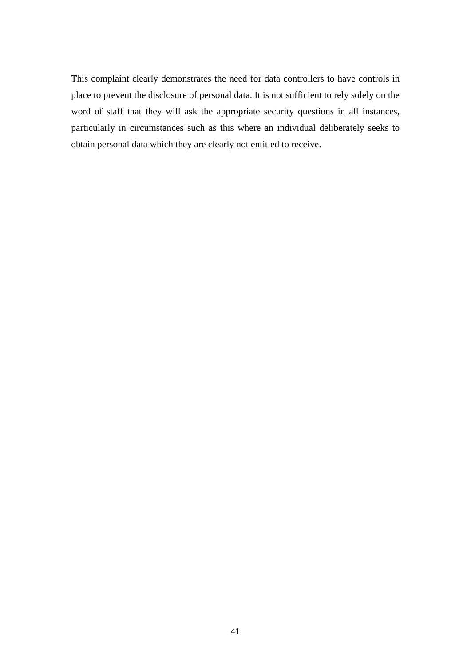This complaint clearly demonstrates the need for data controllers to have controls in place to prevent the disclosure of personal data. It is not sufficient to rely solely on the word of staff that they will ask the appropriate security questions in all instances, particularly in circumstances such as this where an individual deliberately seeks to obtain personal data which they are clearly not entitled to receive.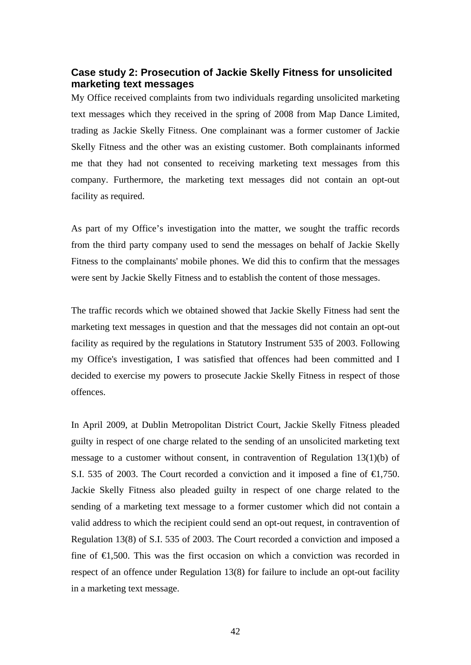## <span id="page-41-0"></span>**Case study 2: Prosecution of Jackie Skelly Fitness for unsolicited marketing text messages**

My Office received complaints from two individuals regarding unsolicited marketing text messages which they received in the spring of 2008 from Map Dance Limited, trading as Jackie Skelly Fitness. One complainant was a former customer of Jackie Skelly Fitness and the other was an existing customer. Both complainants informed me that they had not consented to receiving marketing text messages from this company. Furthermore, the marketing text messages did not contain an opt-out facility as required.

As part of my Office's investigation into the matter, we sought the traffic records from the third party company used to send the messages on behalf of Jackie Skelly Fitness to the complainants' mobile phones. We did this to confirm that the messages were sent by Jackie Skelly Fitness and to establish the content of those messages.

The traffic records which we obtained showed that Jackie Skelly Fitness had sent the marketing text messages in question and that the messages did not contain an opt-out facility as required by the regulations in Statutory Instrument 535 of 2003. Following my Office's investigation, I was satisfied that offences had been committed and I decided to exercise my powers to prosecute Jackie Skelly Fitness in respect of those offences.

In April 2009, at Dublin Metropolitan District Court, Jackie Skelly Fitness pleaded guilty in respect of one charge related to the sending of an unsolicited marketing text message to a customer without consent, in contravention of Regulation 13(1)(b) of S.I. 535 of 2003. The Court recorded a conviction and it imposed a fine of  $\epsilon$ , 750. Jackie Skelly Fitness also pleaded guilty in respect of one charge related to the sending of a marketing text message to a former customer which did not contain a valid address to which the recipient could send an opt-out request, in contravention of Regulation 13(8) of S.I. 535 of 2003. The Court recorded a conviction and imposed a fine of  $\epsilon$ 1,500. This was the first occasion on which a conviction was recorded in respect of an offence under Regulation 13(8) for failure to include an opt-out facility in a marketing text message.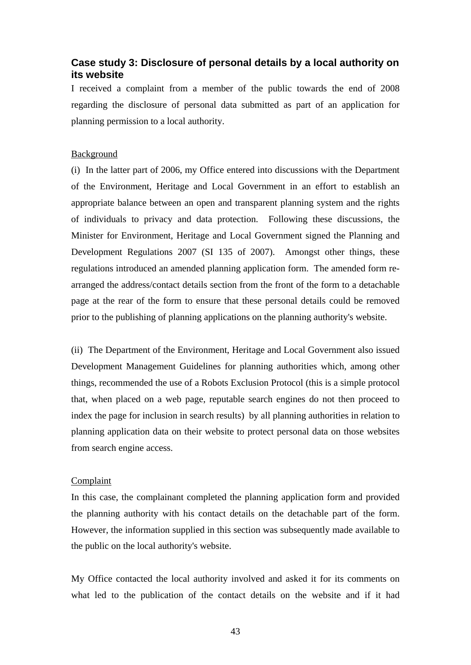## <span id="page-42-0"></span>**Case study 3: Disclosure of personal details by a local authority on its website**

I received a complaint from a member of the public towards the end of 2008 regarding the disclosure of personal data submitted as part of an application for planning permission to a local authority.

#### Background

(i) In the latter part of 2006, my Office entered into discussions with the Department of the Environment, Heritage and Local Government in an effort to establish an appropriate balance between an open and transparent planning system and the rights of individuals to privacy and data protection. Following these discussions, the Minister for Environment, Heritage and Local Government signed the Planning and Development Regulations 2007 (SI 135 of 2007). Amongst other things, these regulations introduced an amended planning application form. The amended form rearranged the address/contact details section from the front of the form to a detachable page at the rear of the form to ensure that these personal details could be removed prior to the publishing of planning applications on the planning authority's website.

(ii) The Department of the Environment, Heritage and Local Government also issued Development Management Guidelines for planning authorities which, among other things, recommended the use of a Robots Exclusion Protocol (this is a simple protocol that, when placed on a web page, reputable search engines do not then proceed to index the page for inclusion in search results) by all planning authorities in relation to planning application data on their website to protect personal data on those websites from search engine access.

#### Complaint

In this case, the complainant completed the planning application form and provided the planning authority with his contact details on the detachable part of the form. However, the information supplied in this section was subsequently made available to the public on the local authority's website.

My Office contacted the local authority involved and asked it for its comments on what led to the publication of the contact details on the website and if it had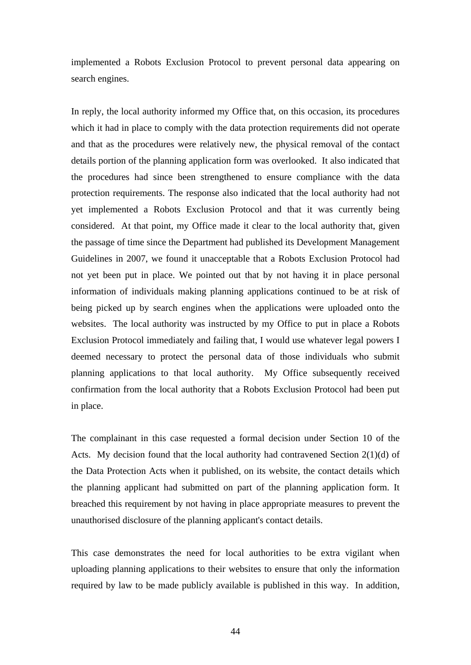implemented a Robots Exclusion Protocol to prevent personal data appearing on search engines.

In reply, the local authority informed my Office that, on this occasion, its procedures which it had in place to comply with the data protection requirements did not operate and that as the procedures were relatively new, the physical removal of the contact details portion of the planning application form was overlooked. It also indicated that the procedures had since been strengthened to ensure compliance with the data protection requirements. The response also indicated that the local authority had not yet implemented a Robots Exclusion Protocol and that it was currently being considered. At that point, my Office made it clear to the local authority that, given the passage of time since the Department had published its Development Management Guidelines in 2007, we found it unacceptable that a Robots Exclusion Protocol had not yet been put in place. We pointed out that by not having it in place personal information of individuals making planning applications continued to be at risk of being picked up by search engines when the applications were uploaded onto the websites. The local authority was instructed by my Office to put in place a Robots Exclusion Protocol immediately and failing that, I would use whatever legal powers I deemed necessary to protect the personal data of those individuals who submit planning applications to that local authority. My Office subsequently received confirmation from the local authority that a Robots Exclusion Protocol had been put in place.

The complainant in this case requested a formal decision under Section 10 of the Acts. My decision found that the local authority had contravened Section 2(1)(d) of the Data Protection Acts when it published, on its website, the contact details which the planning applicant had submitted on part of the planning application form. It breached this requirement by not having in place appropriate measures to prevent the unauthorised disclosure of the planning applicant's contact details.

This case demonstrates the need for local authorities to be extra vigilant when uploading planning applications to their websites to ensure that only the information required by law to be made publicly available is published in this way. In addition,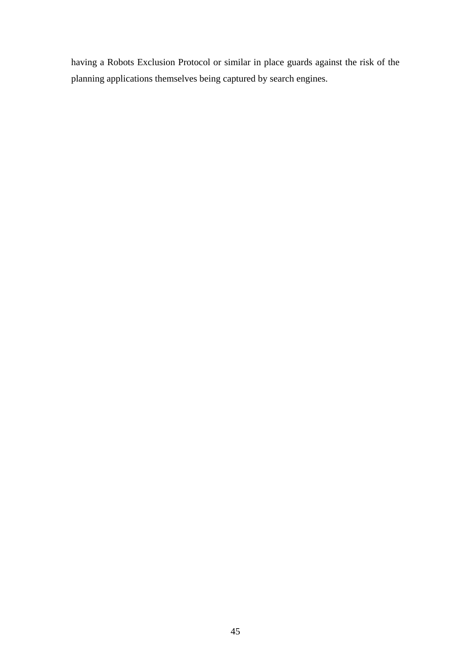having a Robots Exclusion Protocol or similar in place guards against the risk of the planning applications themselves being captured by search engines.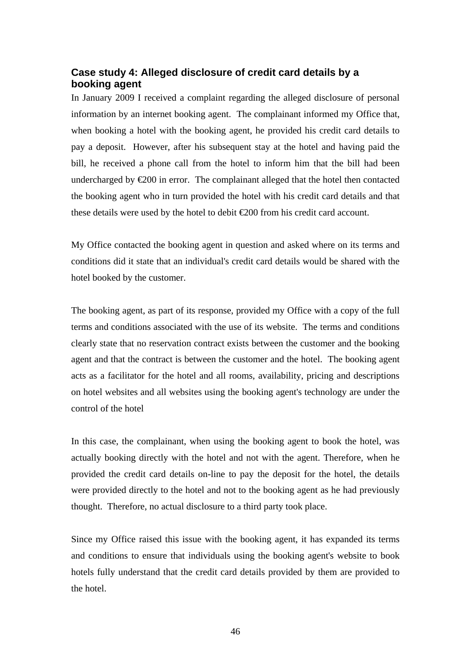## <span id="page-45-0"></span>**Case study 4: Alleged disclosure of credit card details by a booking agent**

In January 2009 I received a complaint regarding the alleged disclosure of personal information by an internet booking agent. The complainant informed my Office that, when booking a hotel with the booking agent, he provided his credit card details to pay a deposit. However, after his subsequent stay at the hotel and having paid the bill, he received a phone call from the hotel to inform him that the bill had been undercharged by  $\epsilon 200$  in error. The complainant alleged that the hotel then contacted the booking agent who in turn provided the hotel with his credit card details and that these details were used by the hotel to debit  $\epsilon$ 200 from his credit card account.

My Office contacted the booking agent in question and asked where on its terms and conditions did it state that an individual's credit card details would be shared with the hotel booked by the customer.

The booking agent, as part of its response, provided my Office with a copy of the full terms and conditions associated with the use of its website. The terms and conditions clearly state that no reservation contract exists between the customer and the booking agent and that the contract is between the customer and the hotel. The booking agent acts as a facilitator for the hotel and all rooms, availability, pricing and descriptions on hotel websites and all websites using the booking agent's technology are under the control of the hotel

In this case, the complainant, when using the booking agent to book the hotel, was actually booking directly with the hotel and not with the agent. Therefore, when he provided the credit card details on-line to pay the deposit for the hotel, the details were provided directly to the hotel and not to the booking agent as he had previously thought. Therefore, no actual disclosure to a third party took place.

Since my Office raised this issue with the booking agent, it has expanded its terms and conditions to ensure that individuals using the booking agent's website to book hotels fully understand that the credit card details provided by them are provided to the hotel.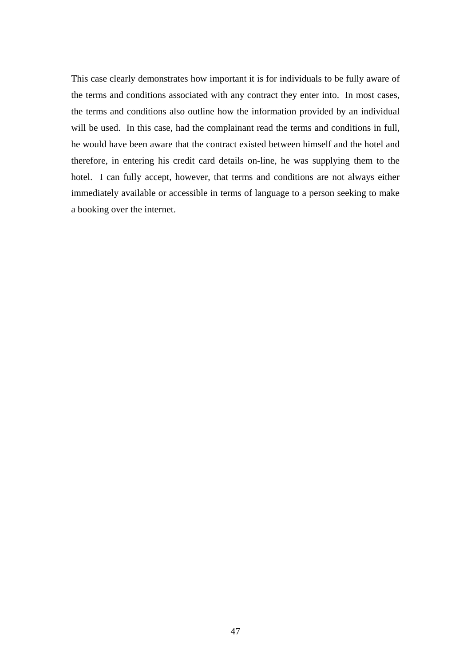This case clearly demonstrates how important it is for individuals to be fully aware of the terms and conditions associated with any contract they enter into. In most cases, the terms and conditions also outline how the information provided by an individual will be used. In this case, had the complainant read the terms and conditions in full, he would have been aware that the contract existed between himself and the hotel and therefore, in entering his credit card details on-line, he was supplying them to the hotel. I can fully accept, however, that terms and conditions are not always either immediately available or accessible in terms of language to a person seeking to make a booking over the internet.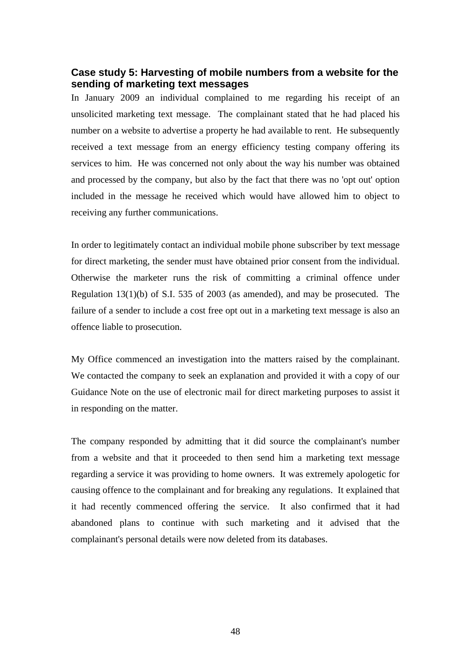### <span id="page-47-0"></span>**Case study 5: Harvesting of mobile numbers from a website for the sending of marketing text messages**

In January 2009 an individual complained to me regarding his receipt of an unsolicited marketing text message. The complainant stated that he had placed his number on a website to advertise a property he had available to rent. He subsequently received a text message from an energy efficiency testing company offering its services to him. He was concerned not only about the way his number was obtained and processed by the company, but also by the fact that there was no 'opt out' option included in the message he received which would have allowed him to object to receiving any further communications.

In order to legitimately contact an individual mobile phone subscriber by text message for direct marketing, the sender must have obtained prior consent from the individual. Otherwise the marketer runs the risk of committing a criminal offence under Regulation 13(1)(b) of S.I. 535 of 2003 (as amended), and may be prosecuted. The failure of a sender to include a cost free opt out in a marketing text message is also an offence liable to prosecution.

My Office commenced an investigation into the matters raised by the complainant. We contacted the company to seek an explanation and provided it with a copy of our Guidance Note on the use of electronic mail for direct marketing purposes to assist it in responding on the matter.

The company responded by admitting that it did source the complainant's number from a website and that it proceeded to then send him a marketing text message regarding a service it was providing to home owners. It was extremely apologetic for causing offence to the complainant and for breaking any regulations. It explained that it had recently commenced offering the service. It also confirmed that it had abandoned plans to continue with such marketing and it advised that the complainant's personal details were now deleted from its databases.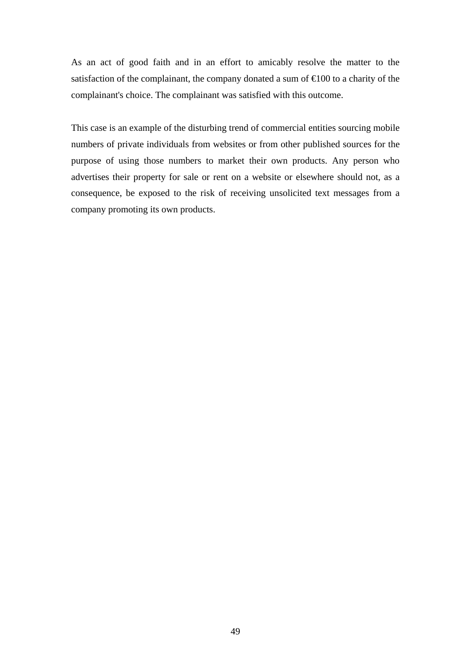As an act of good faith and in an effort to amicably resolve the matter to the satisfaction of the complainant, the company donated a sum of  $\in 00$  to a charity of the complainant's choice. The complainant was satisfied with this outcome.

This case is an example of the disturbing trend of commercial entities sourcing mobile numbers of private individuals from websites or from other published sources for the purpose of using those numbers to market their own products. Any person who advertises their property for sale or rent on a website or elsewhere should not, as a consequence, be exposed to the risk of receiving unsolicited text messages from a company promoting its own products.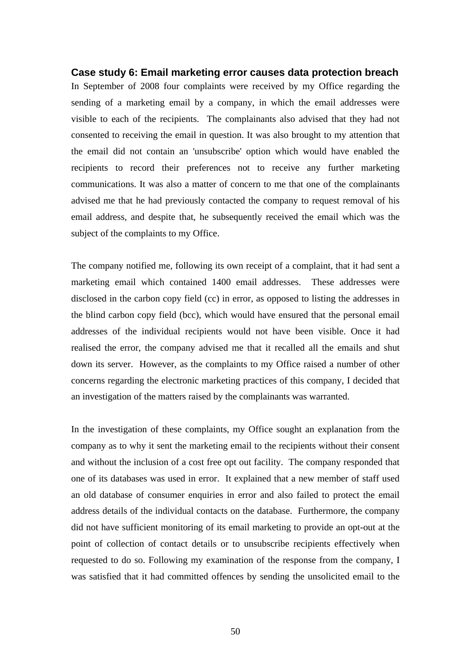## <span id="page-49-0"></span>**Case study 6: Email marketing error causes data protection breach**  In September of 2008 four complaints were received by my Office regarding the sending of a marketing email by a company, in which the email addresses were visible to each of the recipients. The complainants also advised that they had not consented to receiving the email in question. It was also brought to my attention that the email did not contain an 'unsubscribe' option which would have enabled the recipients to record their preferences not to receive any further marketing communications. It was also a matter of concern to me that one of the complainants advised me that he had previously contacted the company to request removal of his email address, and despite that, he subsequently received the email which was the subject of the complaints to my Office.

The company notified me, following its own receipt of a complaint, that it had sent a marketing email which contained 1400 email addresses. These addresses were disclosed in the carbon copy field (cc) in error, as opposed to listing the addresses in the blind carbon copy field (bcc), which would have ensured that the personal email addresses of the individual recipients would not have been visible. Once it had realised the error, the company advised me that it recalled all the emails and shut down its server. However, as the complaints to my Office raised a number of other concerns regarding the electronic marketing practices of this company, I decided that an investigation of the matters raised by the complainants was warranted.

In the investigation of these complaints, my Office sought an explanation from the company as to why it sent the marketing email to the recipients without their consent and without the inclusion of a cost free opt out facility. The company responded that one of its databases was used in error. It explained that a new member of staff used an old database of consumer enquiries in error and also failed to protect the email address details of the individual contacts on the database. Furthermore, the company did not have sufficient monitoring of its email marketing to provide an opt-out at the point of collection of contact details or to unsubscribe recipients effectively when requested to do so. Following my examination of the response from the company, I was satisfied that it had committed offences by sending the unsolicited email to the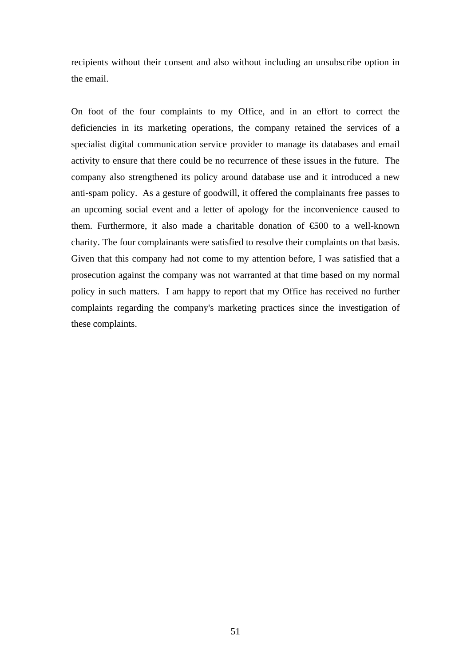recipients without their consent and also without including an unsubscribe option in the email.

On foot of the four complaints to my Office, and in an effort to correct the deficiencies in its marketing operations, the company retained the services of a specialist digital communication service provider to manage its databases and email activity to ensure that there could be no recurrence of these issues in the future. The company also strengthened its policy around database use and it introduced a new anti-spam policy. As a gesture of goodwill, it offered the complainants free passes to an upcoming social event and a letter of apology for the inconvenience caused to them. Furthermore, it also made a charitable donation of  $\epsilon$ 500 to a well-known charity. The four complainants were satisfied to resolve their complaints on that basis. Given that this company had not come to my attention before, I was satisfied that a prosecution against the company was not warranted at that time based on my normal policy in such matters. I am happy to report that my Office has received no further complaints regarding the company's marketing practices since the investigation of these complaints.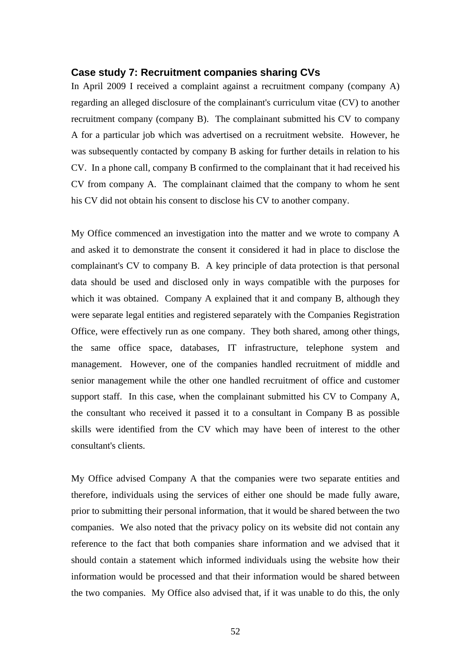#### <span id="page-51-0"></span>**Case study 7: Recruitment companies sharing CVs**

In April 2009 I received a complaint against a recruitment company (company A) regarding an alleged disclosure of the complainant's curriculum vitae (CV) to another recruitment company (company B). The complainant submitted his CV to company A for a particular job which was advertised on a recruitment website. However, he was subsequently contacted by company B asking for further details in relation to his CV. In a phone call, company B confirmed to the complainant that it had received his CV from company A. The complainant claimed that the company to whom he sent his CV did not obtain his consent to disclose his CV to another company.

My Office commenced an investigation into the matter and we wrote to company A and asked it to demonstrate the consent it considered it had in place to disclose the complainant's CV to company B. A key principle of data protection is that personal data should be used and disclosed only in ways compatible with the purposes for which it was obtained. Company A explained that it and company B, although they were separate legal entities and registered separately with the Companies Registration Office, were effectively run as one company. They both shared, among other things, the same office space, databases, IT infrastructure, telephone system and management. However, one of the companies handled recruitment of middle and senior management while the other one handled recruitment of office and customer support staff. In this case, when the complainant submitted his CV to Company A, the consultant who received it passed it to a consultant in Company B as possible skills were identified from the CV which may have been of interest to the other consultant's clients.

My Office advised Company A that the companies were two separate entities and therefore, individuals using the services of either one should be made fully aware, prior to submitting their personal information, that it would be shared between the two companies. We also noted that the privacy policy on its website did not contain any reference to the fact that both companies share information and we advised that it should contain a statement which informed individuals using the website how their information would be processed and that their information would be shared between the two companies. My Office also advised that, if it was unable to do this, the only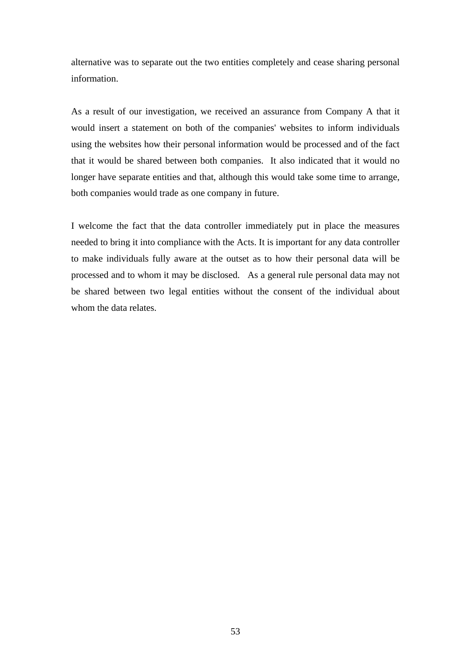alternative was to separate out the two entities completely and cease sharing personal information.

As a result of our investigation, we received an assurance from Company A that it would insert a statement on both of the companies' websites to inform individuals using the websites how their personal information would be processed and of the fact that it would be shared between both companies. It also indicated that it would no longer have separate entities and that, although this would take some time to arrange, both companies would trade as one company in future.

I welcome the fact that the data controller immediately put in place the measures needed to bring it into compliance with the Acts. It is important for any data controller to make individuals fully aware at the outset as to how their personal data will be processed and to whom it may be disclosed. As a general rule personal data may not be shared between two legal entities without the consent of the individual about whom the data relates.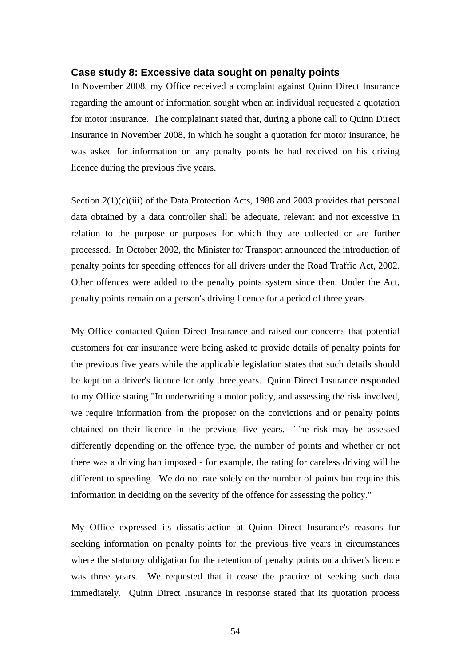#### <span id="page-53-0"></span>**Case study 8: Excessive data sought on penalty points**

In November 2008, my Office received a complaint against Quinn Direct Insurance regarding the amount of information sought when an individual requested a quotation for motor insurance. The complainant stated that, during a phone call to Quinn Direct Insurance in November 2008, in which he sought a quotation for motor insurance, he was asked for information on any penalty points he had received on his driving licence during the previous five years.

Section 2(1)(c)(iii) of the Data Protection Acts, 1988 and 2003 provides that personal data obtained by a data controller shall be adequate, relevant and not excessive in relation to the purpose or purposes for which they are collected or are further processed. In October 2002, the Minister for Transport announced the introduction of penalty points for speeding offences for all drivers under the Road Traffic Act, 2002. Other offences were added to the penalty points system since then. Under the Act, penalty points remain on a person's driving licence for a period of three years.

My Office contacted Quinn Direct Insurance and raised our concerns that potential customers for car insurance were being asked to provide details of penalty points for the previous five years while the applicable legislation states that such details should be kept on a driver's licence for only three years. Quinn Direct Insurance responded to my Office stating "In underwriting a motor policy, and assessing the risk involved, we require information from the proposer on the convictions and or penalty points obtained on their licence in the previous five years. The risk may be assessed differently depending on the offence type, the number of points and whether or not there was a driving ban imposed - for example, the rating for careless driving will be different to speeding. We do not rate solely on the number of points but require this information in deciding on the severity of the offence for assessing the policy."

My Office expressed its dissatisfaction at Quinn Direct Insurance's reasons for seeking information on penalty points for the previous five years in circumstances where the statutory obligation for the retention of penalty points on a driver's licence was three years. We requested that it cease the practice of seeking such data immediately. Quinn Direct Insurance in response stated that its quotation process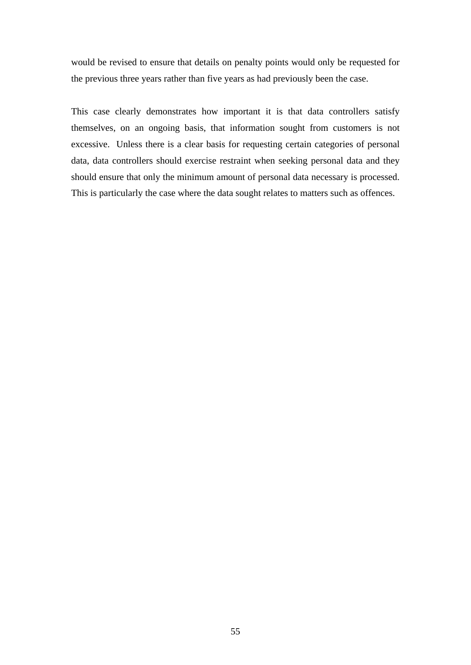would be revised to ensure that details on penalty points would only be requested for the previous three years rather than five years as had previously been the case.

This case clearly demonstrates how important it is that data controllers satisfy themselves, on an ongoing basis, that information sought from customers is not excessive. Unless there is a clear basis for requesting certain categories of personal data, data controllers should exercise restraint when seeking personal data and they should ensure that only the minimum amount of personal data necessary is processed. This is particularly the case where the data sought relates to matters such as offences.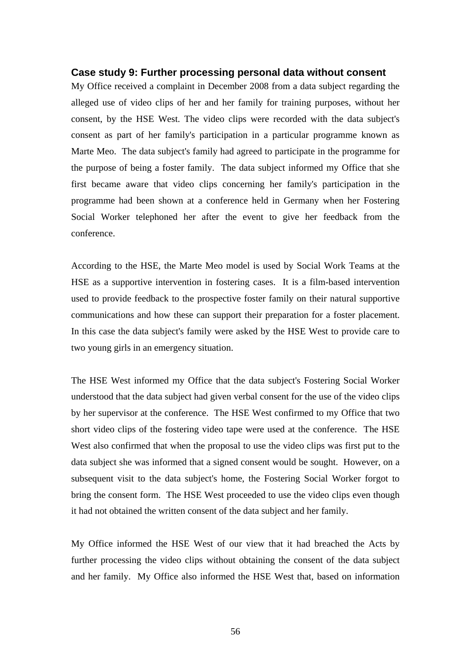#### <span id="page-55-0"></span>**Case study 9: Further processing personal data without consent**

My Office received a complaint in December 2008 from a data subject regarding the alleged use of video clips of her and her family for training purposes, without her consent, by the HSE West. The video clips were recorded with the data subject's consent as part of her family's participation in a particular programme known as Marte Meo. The data subject's family had agreed to participate in the programme for the purpose of being a foster family. The data subject informed my Office that she first became aware that video clips concerning her family's participation in the programme had been shown at a conference held in Germany when her Fostering Social Worker telephoned her after the event to give her feedback from the conference.

According to the HSE, the Marte Meo model is used by Social Work Teams at the HSE as a supportive intervention in fostering cases. It is a film-based intervention used to provide feedback to the prospective foster family on their natural supportive communications and how these can support their preparation for a foster placement. In this case the data subject's family were asked by the HSE West to provide care to two young girls in an emergency situation.

The HSE West informed my Office that the data subject's Fostering Social Worker understood that the data subject had given verbal consent for the use of the video clips by her supervisor at the conference. The HSE West confirmed to my Office that two short video clips of the fostering video tape were used at the conference. The HSE West also confirmed that when the proposal to use the video clips was first put to the data subject she was informed that a signed consent would be sought. However, on a subsequent visit to the data subject's home, the Fostering Social Worker forgot to bring the consent form. The HSE West proceeded to use the video clips even though it had not obtained the written consent of the data subject and her family.

My Office informed the HSE West of our view that it had breached the Acts by further processing the video clips without obtaining the consent of the data subject and her family. My Office also informed the HSE West that, based on information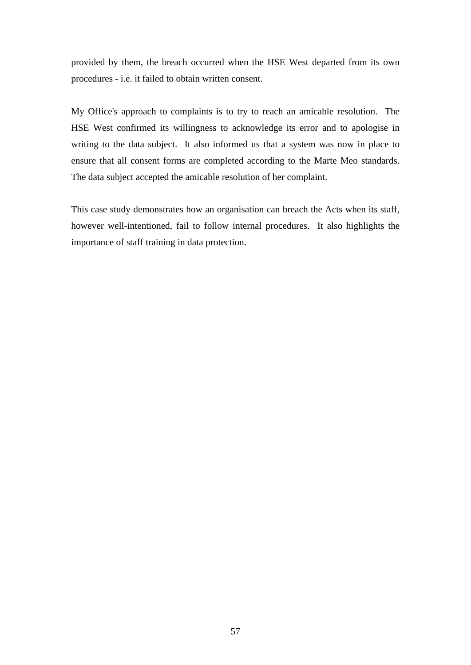provided by them, the breach occurred when the HSE West departed from its own procedures - i.e. it failed to obtain written consent.

My Office's approach to complaints is to try to reach an amicable resolution. The HSE West confirmed its willingness to acknowledge its error and to apologise in writing to the data subject. It also informed us that a system was now in place to ensure that all consent forms are completed according to the Marte Meo standards. The data subject accepted the amicable resolution of her complaint.

This case study demonstrates how an organisation can breach the Acts when its staff, however well-intentioned, fail to follow internal procedures. It also highlights the importance of staff training in data protection.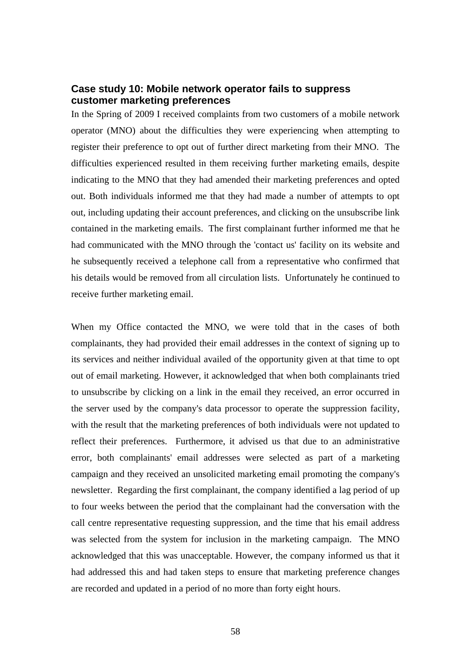### <span id="page-57-0"></span>**Case study 10: Mobile network operator fails to suppress customer marketing preferences**

In the Spring of 2009 I received complaints from two customers of a mobile network operator (MNO) about the difficulties they were experiencing when attempting to register their preference to opt out of further direct marketing from their MNO. The difficulties experienced resulted in them receiving further marketing emails, despite indicating to the MNO that they had amended their marketing preferences and opted out. Both individuals informed me that they had made a number of attempts to opt out, including updating their account preferences, and clicking on the unsubscribe link contained in the marketing emails. The first complainant further informed me that he had communicated with the MNO through the 'contact us' facility on its website and he subsequently received a telephone call from a representative who confirmed that his details would be removed from all circulation lists. Unfortunately he continued to receive further marketing email.

When my Office contacted the MNO, we were told that in the cases of both complainants, they had provided their email addresses in the context of signing up to its services and neither individual availed of the opportunity given at that time to opt out of email marketing. However, it acknowledged that when both complainants tried to unsubscribe by clicking on a link in the email they received, an error occurred in the server used by the company's data processor to operate the suppression facility, with the result that the marketing preferences of both individuals were not updated to reflect their preferences. Furthermore, it advised us that due to an administrative error, both complainants' email addresses were selected as part of a marketing campaign and they received an unsolicited marketing email promoting the company's newsletter. Regarding the first complainant, the company identified a lag period of up to four weeks between the period that the complainant had the conversation with the call centre representative requesting suppression, and the time that his email address was selected from the system for inclusion in the marketing campaign. The MNO acknowledged that this was unacceptable. However, the company informed us that it had addressed this and had taken steps to ensure that marketing preference changes are recorded and updated in a period of no more than forty eight hours.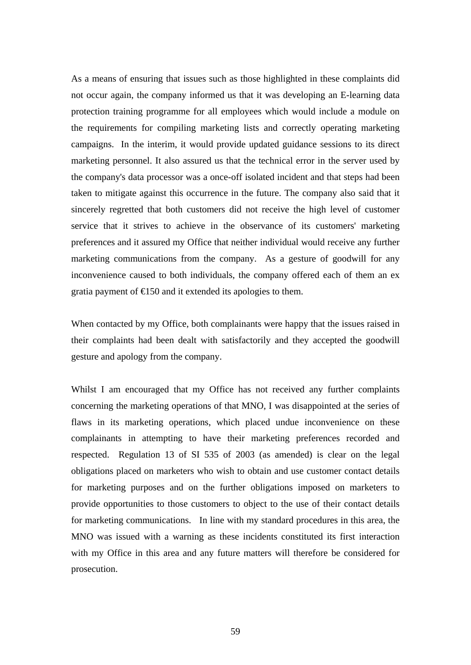As a means of ensuring that issues such as those highlighted in these complaints did not occur again, the company informed us that it was developing an E-learning data protection training programme for all employees which would include a module on the requirements for compiling marketing lists and correctly operating marketing campaigns. In the interim, it would provide updated guidance sessions to its direct marketing personnel. It also assured us that the technical error in the server used by the company's data processor was a once-off isolated incident and that steps had been taken to mitigate against this occurrence in the future. The company also said that it sincerely regretted that both customers did not receive the high level of customer service that it strives to achieve in the observance of its customers' marketing preferences and it assured my Office that neither individual would receive any further marketing communications from the company. As a gesture of goodwill for any inconvenience caused to both individuals, the company offered each of them an ex gratia payment of  $\epsilon$ 150 and it extended its apologies to them.

When contacted by my Office, both complainants were happy that the issues raised in their complaints had been dealt with satisfactorily and they accepted the goodwill gesture and apology from the company.

Whilst I am encouraged that my Office has not received any further complaints concerning the marketing operations of that MNO, I was disappointed at the series of flaws in its marketing operations, which placed undue inconvenience on these complainants in attempting to have their marketing preferences recorded and respected. Regulation 13 of SI 535 of 2003 (as amended) is clear on the legal obligations placed on marketers who wish to obtain and use customer contact details for marketing purposes and on the further obligations imposed on marketers to provide opportunities to those customers to object to the use of their contact details for marketing communications. In line with my standard procedures in this area, the MNO was issued with a warning as these incidents constituted its first interaction with my Office in this area and any future matters will therefore be considered for prosecution.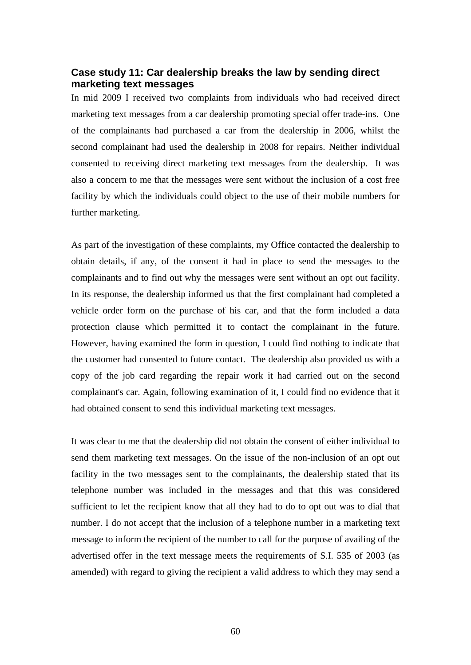## <span id="page-59-0"></span>**Case study 11: Car dealership breaks the law by sending direct marketing text messages**

In mid 2009 I received two complaints from individuals who had received direct marketing text messages from a car dealership promoting special offer trade-ins. One of the complainants had purchased a car from the dealership in 2006, whilst the second complainant had used the dealership in 2008 for repairs. Neither individual consented to receiving direct marketing text messages from the dealership. It was also a concern to me that the messages were sent without the inclusion of a cost free facility by which the individuals could object to the use of their mobile numbers for further marketing.

As part of the investigation of these complaints, my Office contacted the dealership to obtain details, if any, of the consent it had in place to send the messages to the complainants and to find out why the messages were sent without an opt out facility. In its response, the dealership informed us that the first complainant had completed a vehicle order form on the purchase of his car, and that the form included a data protection clause which permitted it to contact the complainant in the future. However, having examined the form in question, I could find nothing to indicate that the customer had consented to future contact. The dealership also provided us with a copy of the job card regarding the repair work it had carried out on the second complainant's car. Again, following examination of it, I could find no evidence that it had obtained consent to send this individual marketing text messages.

It was clear to me that the dealership did not obtain the consent of either individual to send them marketing text messages. On the issue of the non-inclusion of an opt out facility in the two messages sent to the complainants, the dealership stated that its telephone number was included in the messages and that this was considered sufficient to let the recipient know that all they had to do to opt out was to dial that number. I do not accept that the inclusion of a telephone number in a marketing text message to inform the recipient of the number to call for the purpose of availing of the advertised offer in the text message meets the requirements of S.I. 535 of 2003 (as amended) with regard to giving the recipient a valid address to which they may send a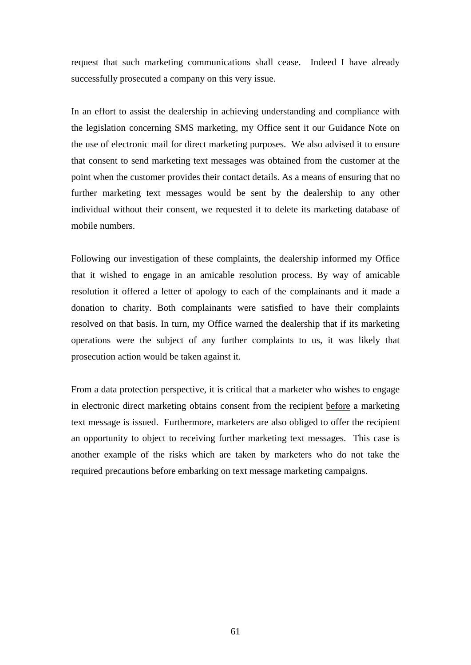request that such marketing communications shall cease. Indeed I have already successfully prosecuted a company on this very issue.

In an effort to assist the dealership in achieving understanding and compliance with the legislation concerning SMS marketing, my Office sent it our Guidance Note on the use of electronic mail for direct marketing purposes. We also advised it to ensure that consent to send marketing text messages was obtained from the customer at the point when the customer provides their contact details. As a means of ensuring that no further marketing text messages would be sent by the dealership to any other individual without their consent, we requested it to delete its marketing database of mobile numbers.

Following our investigation of these complaints, the dealership informed my Office that it wished to engage in an amicable resolution process. By way of amicable resolution it offered a letter of apology to each of the complainants and it made a donation to charity. Both complainants were satisfied to have their complaints resolved on that basis. In turn, my Office warned the dealership that if its marketing operations were the subject of any further complaints to us, it was likely that prosecution action would be taken against it.

From a data protection perspective, it is critical that a marketer who wishes to engage in electronic direct marketing obtains consent from the recipient before a marketing text message is issued. Furthermore, marketers are also obliged to offer the recipient an opportunity to object to receiving further marketing text messages. This case is another example of the risks which are taken by marketers who do not take the required precautions before embarking on text message marketing campaigns.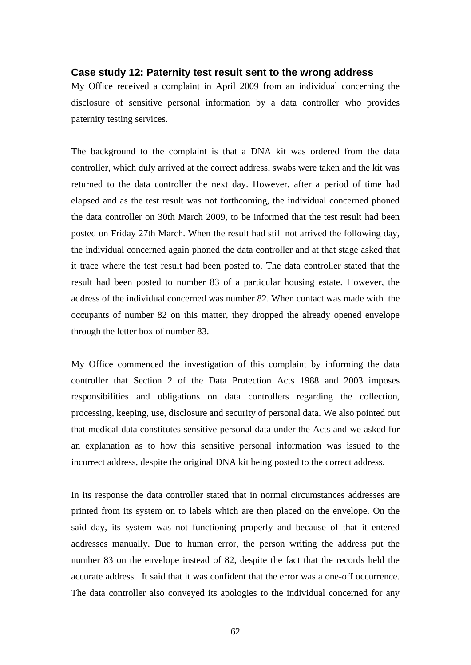#### <span id="page-61-0"></span>**Case study 12: Paternity test result sent to the wrong address**

My Office received a complaint in April 2009 from an individual concerning the disclosure of sensitive personal information by a data controller who provides paternity testing services.

The background to the complaint is that a DNA kit was ordered from the data controller, which duly arrived at the correct address, swabs were taken and the kit was returned to the data controller the next day. However, after a period of time had elapsed and as the test result was not forthcoming, the individual concerned phoned the data controller on 30th March 2009, to be informed that the test result had been posted on Friday 27th March. When the result had still not arrived the following day, the individual concerned again phoned the data controller and at that stage asked that it trace where the test result had been posted to. The data controller stated that the result had been posted to number 83 of a particular housing estate. However, the address of the individual concerned was number 82. When contact was made with the occupants of number 82 on this matter, they dropped the already opened envelope through the letter box of number 83.

My Office commenced the investigation of this complaint by informing the data controller that Section 2 of the Data Protection Acts 1988 and 2003 imposes responsibilities and obligations on data controllers regarding the collection, processing, keeping, use, disclosure and security of personal data. We also pointed out that medical data constitutes sensitive personal data under the Acts and we asked for an explanation as to how this sensitive personal information was issued to the incorrect address, despite the original DNA kit being posted to the correct address.

In its response the data controller stated that in normal circumstances addresses are printed from its system on to labels which are then placed on the envelope. On the said day, its system was not functioning properly and because of that it entered addresses manually. Due to human error, the person writing the address put the number 83 on the envelope instead of 82, despite the fact that the records held the accurate address. It said that it was confident that the error was a one-off occurrence. The data controller also conveyed its apologies to the individual concerned for any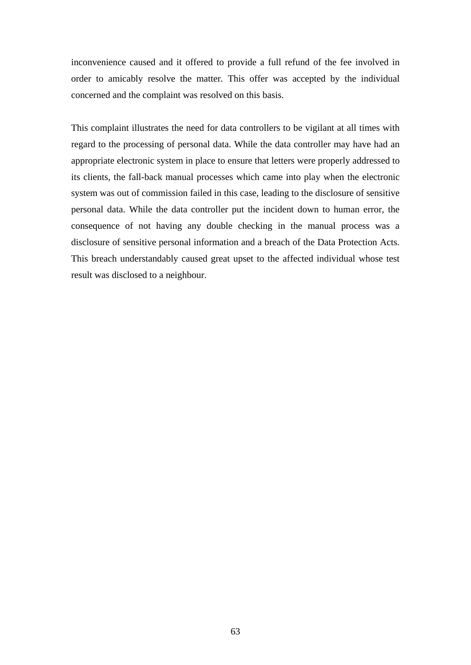inconvenience caused and it offered to provide a full refund of the fee involved in order to amicably resolve the matter. This offer was accepted by the individual concerned and the complaint was resolved on this basis.

This complaint illustrates the need for data controllers to be vigilant at all times with regard to the processing of personal data. While the data controller may have had an appropriate electronic system in place to ensure that letters were properly addressed to its clients, the fall-back manual processes which came into play when the electronic system was out of commission failed in this case, leading to the disclosure of sensitive personal data. While the data controller put the incident down to human error, the consequence of not having any double checking in the manual process was a disclosure of sensitive personal information and a breach of the Data Protection Acts. This breach understandably caused great upset to the affected individual whose test result was disclosed to a neighbour.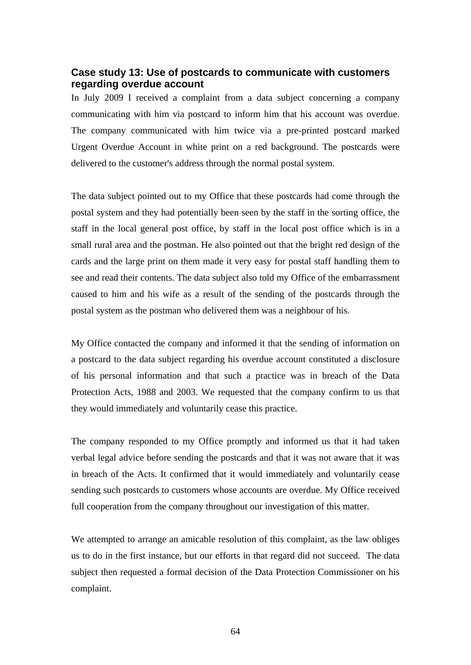## <span id="page-63-0"></span>**Case study 13: Use of postcards to communicate with customers regarding overdue account**

In July 2009 I received a complaint from a data subject concerning a company communicating with him via postcard to inform him that his account was overdue. The company communicated with him twice via a pre-printed postcard marked Urgent Overdue Account in white print on a red background. The postcards were delivered to the customer's address through the normal postal system.

The data subject pointed out to my Office that these postcards had come through the postal system and they had potentially been seen by the staff in the sorting office, the staff in the local general post office, by staff in the local post office which is in a small rural area and the postman. He also pointed out that the bright red design of the cards and the large print on them made it very easy for postal staff handling them to see and read their contents. The data subject also told my Office of the embarrassment caused to him and his wife as a result of the sending of the postcards through the postal system as the postman who delivered them was a neighbour of his.

My Office contacted the company and informed it that the sending of information on a postcard to the data subject regarding his overdue account constituted a disclosure of his personal information and that such a practice was in breach of the Data Protection Acts, 1988 and 2003. We requested that the company confirm to us that they would immediately and voluntarily cease this practice.

The company responded to my Office promptly and informed us that it had taken verbal legal advice before sending the postcards and that it was not aware that it was in breach of the Acts. It confirmed that it would immediately and voluntarily cease sending such postcards to customers whose accounts are overdue. My Office received full cooperation from the company throughout our investigation of this matter.

We attempted to arrange an amicable resolution of this complaint, as the law obliges us to do in the first instance, but our efforts in that regard did not succeed. The data subject then requested a formal decision of the Data Protection Commissioner on his complaint.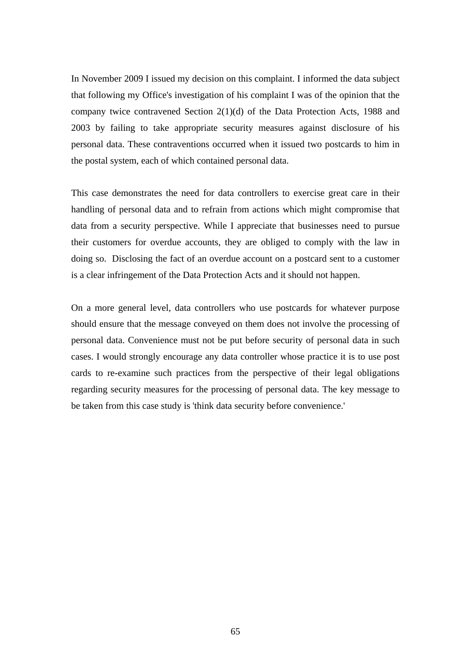In November 2009 I issued my decision on this complaint. I informed the data subject that following my Office's investigation of his complaint I was of the opinion that the company twice contravened Section 2(1)(d) of the Data Protection Acts, 1988 and 2003 by failing to take appropriate security measures against disclosure of his personal data. These contraventions occurred when it issued two postcards to him in the postal system, each of which contained personal data.

This case demonstrates the need for data controllers to exercise great care in their handling of personal data and to refrain from actions which might compromise that data from a security perspective. While I appreciate that businesses need to pursue their customers for overdue accounts, they are obliged to comply with the law in doing so. Disclosing the fact of an overdue account on a postcard sent to a customer is a clear infringement of the Data Protection Acts and it should not happen.

On a more general level, data controllers who use postcards for whatever purpose should ensure that the message conveyed on them does not involve the processing of personal data. Convenience must not be put before security of personal data in such cases. I would strongly encourage any data controller whose practice it is to use post cards to re-examine such practices from the perspective of their legal obligations regarding security measures for the processing of personal data. The key message to be taken from this case study is 'think data security before convenience.'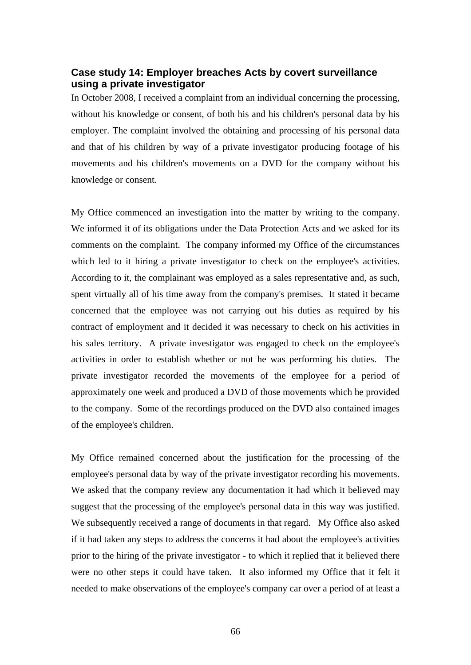## <span id="page-65-0"></span>**Case study 14: Employer breaches Acts by covert surveillance using a private investigator**

In October 2008, I received a complaint from an individual concerning the processing, without his knowledge or consent, of both his and his children's personal data by his employer. The complaint involved the obtaining and processing of his personal data and that of his children by way of a private investigator producing footage of his movements and his children's movements on a DVD for the company without his knowledge or consent.

My Office commenced an investigation into the matter by writing to the company. We informed it of its obligations under the Data Protection Acts and we asked for its comments on the complaint. The company informed my Office of the circumstances which led to it hiring a private investigator to check on the employee's activities. According to it, the complainant was employed as a sales representative and, as such, spent virtually all of his time away from the company's premises. It stated it became concerned that the employee was not carrying out his duties as required by his contract of employment and it decided it was necessary to check on his activities in his sales territory. A private investigator was engaged to check on the employee's activities in order to establish whether or not he was performing his duties. The private investigator recorded the movements of the employee for a period of approximately one week and produced a DVD of those movements which he provided to the company. Some of the recordings produced on the DVD also contained images of the employee's children.

My Office remained concerned about the justification for the processing of the employee's personal data by way of the private investigator recording his movements. We asked that the company review any documentation it had which it believed may suggest that the processing of the employee's personal data in this way was justified. We subsequently received a range of documents in that regard. My Office also asked if it had taken any steps to address the concerns it had about the employee's activities prior to the hiring of the private investigator - to which it replied that it believed there were no other steps it could have taken. It also informed my Office that it felt it needed to make observations of the employee's company car over a period of at least a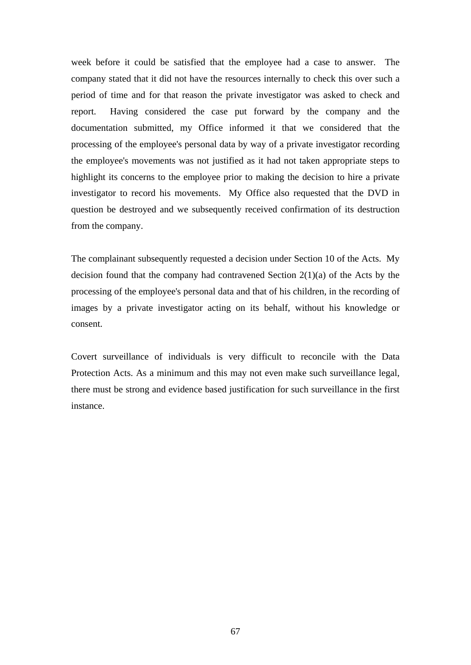week before it could be satisfied that the employee had a case to answer. The company stated that it did not have the resources internally to check this over such a period of time and for that reason the private investigator was asked to check and report. Having considered the case put forward by the company and the documentation submitted, my Office informed it that we considered that the processing of the employee's personal data by way of a private investigator recording the employee's movements was not justified as it had not taken appropriate steps to highlight its concerns to the employee prior to making the decision to hire a private investigator to record his movements. My Office also requested that the DVD in question be destroyed and we subsequently received confirmation of its destruction from the company.

The complainant subsequently requested a decision under Section 10 of the Acts. My decision found that the company had contravened Section  $2(1)(a)$  of the Acts by the processing of the employee's personal data and that of his children, in the recording of images by a private investigator acting on its behalf, without his knowledge or consent.

Covert surveillance of individuals is very difficult to reconcile with the Data Protection Acts. As a minimum and this may not even make such surveillance legal, there must be strong and evidence based justification for such surveillance in the first instance.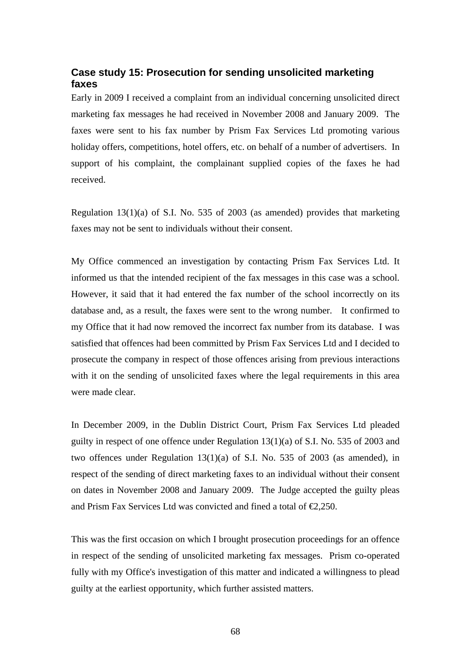## <span id="page-67-0"></span>**Case study 15: Prosecution for sending unsolicited marketing faxes**

Early in 2009 I received a complaint from an individual concerning unsolicited direct marketing fax messages he had received in November 2008 and January 2009. The faxes were sent to his fax number by Prism Fax Services Ltd promoting various holiday offers, competitions, hotel offers, etc. on behalf of a number of advertisers. In support of his complaint, the complainant supplied copies of the faxes he had received.

Regulation 13(1)(a) of S.I. No. 535 of 2003 (as amended) provides that marketing faxes may not be sent to individuals without their consent.

My Office commenced an investigation by contacting Prism Fax Services Ltd. It informed us that the intended recipient of the fax messages in this case was a school. However, it said that it had entered the fax number of the school incorrectly on its database and, as a result, the faxes were sent to the wrong number. It confirmed to my Office that it had now removed the incorrect fax number from its database. I was satisfied that offences had been committed by Prism Fax Services Ltd and I decided to prosecute the company in respect of those offences arising from previous interactions with it on the sending of unsolicited faxes where the legal requirements in this area were made clear.

In December 2009, in the Dublin District Court, Prism Fax Services Ltd pleaded guilty in respect of one offence under Regulation 13(1)(a) of S.I. No. 535 of 2003 and two offences under Regulation 13(1)(a) of S.I. No. 535 of 2003 (as amended), in respect of the sending of direct marketing faxes to an individual without their consent on dates in November 2008 and January 2009. The Judge accepted the guilty pleas and Prism Fax Services Ltd was convicted and fined a total of  $\epsilon$ 2,250.

This was the first occasion on which I brought prosecution proceedings for an offence in respect of the sending of unsolicited marketing fax messages. Prism co-operated fully with my Office's investigation of this matter and indicated a willingness to plead guilty at the earliest opportunity, which further assisted matters.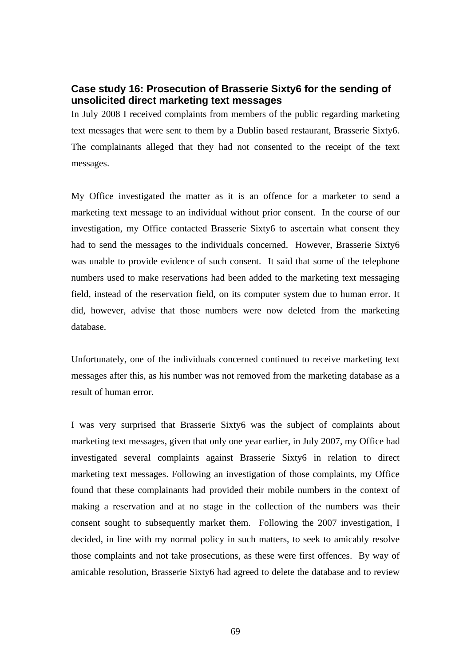## <span id="page-68-0"></span>**Case study 16: Prosecution of Brasserie Sixty6 for the sending of unsolicited direct marketing text messages**

In July 2008 I received complaints from members of the public regarding marketing text messages that were sent to them by a Dublin based restaurant, Brasserie Sixty6. The complainants alleged that they had not consented to the receipt of the text messages.

My Office investigated the matter as it is an offence for a marketer to send a marketing text message to an individual without prior consent. In the course of our investigation, my Office contacted Brasserie Sixty6 to ascertain what consent they had to send the messages to the individuals concerned. However, Brasserie Sixty6 was unable to provide evidence of such consent. It said that some of the telephone numbers used to make reservations had been added to the marketing text messaging field, instead of the reservation field, on its computer system due to human error. It did, however, advise that those numbers were now deleted from the marketing database.

Unfortunately, one of the individuals concerned continued to receive marketing text messages after this, as his number was not removed from the marketing database as a result of human error.

I was very surprised that Brasserie Sixty6 was the subject of complaints about marketing text messages, given that only one year earlier, in July 2007, my Office had investigated several complaints against Brasserie Sixty6 in relation to direct marketing text messages. Following an investigation of those complaints, my Office found that these complainants had provided their mobile numbers in the context of making a reservation and at no stage in the collection of the numbers was their consent sought to subsequently market them. Following the 2007 investigation, I decided, in line with my normal policy in such matters, to seek to amicably resolve those complaints and not take prosecutions, as these were first offences. By way of amicable resolution, Brasserie Sixty6 had agreed to delete the database and to review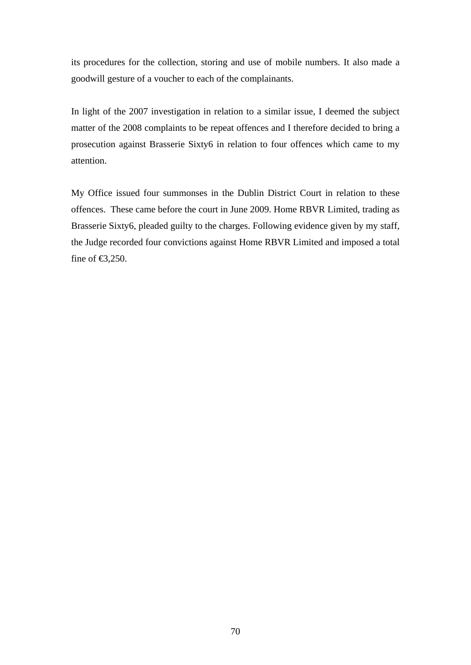its procedures for the collection, storing and use of mobile numbers. It also made a goodwill gesture of a voucher to each of the complainants.

In light of the 2007 investigation in relation to a similar issue, I deemed the subject matter of the 2008 complaints to be repeat offences and I therefore decided to bring a prosecution against Brasserie Sixty6 in relation to four offences which came to my attention.

My Office issued four summonses in the Dublin District Court in relation to these offences. These came before the court in June 2009. Home RBVR Limited, trading as Brasserie Sixty6, pleaded guilty to the charges. Following evidence given by my staff, the Judge recorded four convictions against Home RBVR Limited and imposed a total fine of  $\text{E}3,250$ .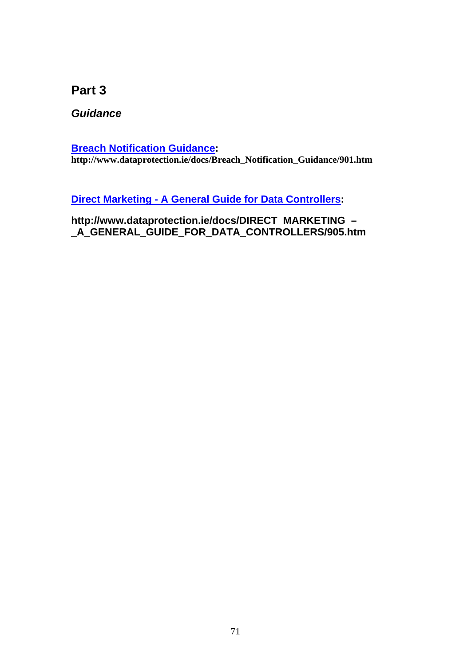**Part 3** 

*Guidance* 

**[Breach Notification Guidance](http://www.dataprotection.ie/docs/Breach_Notification_Guidance/901.htm): http://www.dataprotection.ie/docs/Breach\_Notification\_Guidance/901.htm**

**[Direct Marketing - A General Guide for Data Controllers:](http://www.dataprotection.ie/docs/DIRECT_MARKETING_%E2%80%93_A_GENERAL_GUIDE_FOR_DATA_CONTROLLERS/905.htm)** 

**http://www.dataprotection.ie/docs/DIRECT\_MARKETING\_– \_A\_GENERAL\_GUIDE\_FOR\_DATA\_CONTROLLERS/905.htm**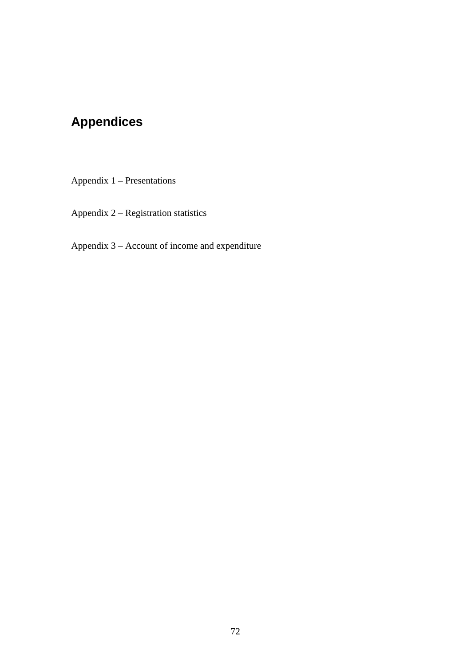# **Appendices**

Appendix 1 – Presentations

Appendix 2 – Registration statistics

Appendix 3 – Account of income and expenditure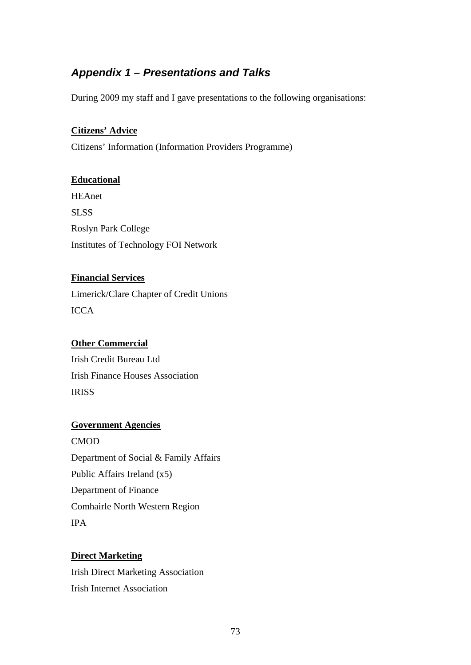# *Appendix 1 – Presentations and Talks*

During 2009 my staff and I gave presentations to the following organisations:

#### **Citizens' Advice**

Citizens' Information (Information Providers Programme)

#### **Educational**

HEAnet **SLSS** Roslyn Park College Institutes of Technology FOI Network

### **Financial Services**

Limerick/Clare Chapter of Credit Unions **ICCA** 

### **Other Commercial**

Irish Credit Bureau Ltd Irish Finance Houses Association IRISS

#### **Government Agencies**

CMOD Department of Social & Family Affairs Public Affairs Ireland (x5) Department of Finance Comhairle North Western Region IPA

### **Direct Marketing**

Irish Direct Marketing Association Irish Internet Association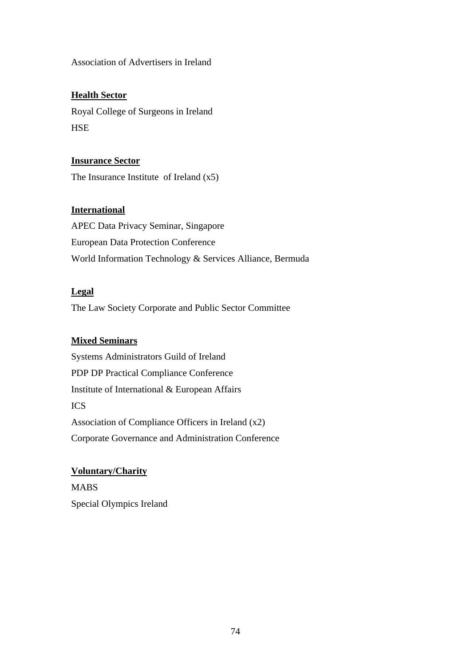Association of Advertisers in Ireland

## **Health Sector**

Royal College of Surgeons in Ireland **HSE** 

**Insurance Sector** The Insurance Institute of Ireland (x5)

### **International**

APEC Data Privacy Seminar, Singapore European Data Protection Conference World Information Technology & Services Alliance, Bermuda

### **Legal**

The Law Society Corporate and Public Sector Committee

## **Mixed Seminars**

Systems Administrators Guild of Ireland PDP DP Practical Compliance Conference Institute of International & European Affairs ICS Association of Compliance Officers in Ireland (x2) Corporate Governance and Administration Conference

### **Voluntary/Charity**

MABS Special Olympics Ireland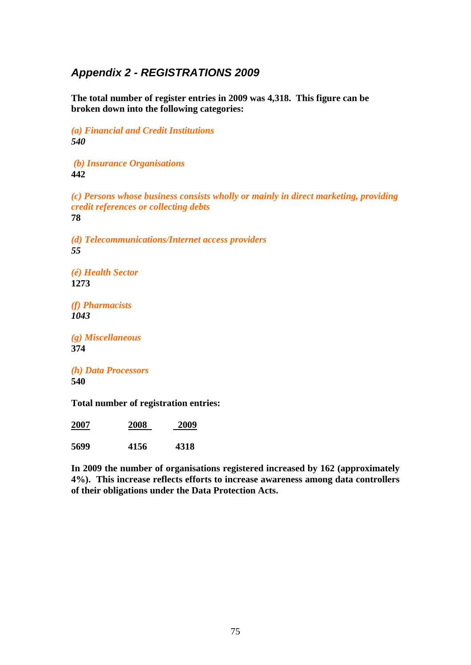# *Appendix 2 - REGISTRATIONS 2009*

**The total number of register entries in 2009 was 4,318. This figure can be broken down into the following categories:**

*(a) Financial and Credit Institutions 540* 

 *(b) Insurance Organisations*  **442** 

*(c) Persons whose business consists wholly or mainly in direct marketing, providing credit references or collecting debts* **78** 

*(d) Telecommunications/Internet access providers 55*

*(é) Health Sector*  **1273** 

*(f) Pharmacists 1043* 

*(g) Miscellaneous*  **374** 

*(h) Data Processors*  **540**

**Total number of registration entries:** 

| 2007 | 2008 | 2009 |
|------|------|------|
| 5699 | 4156 | 4318 |

**In 2009 the number of organisations registered increased by 162 (approximately 4%). This increase reflects efforts to increase awareness among data controllers of their obligations under the Data Protection Acts.**